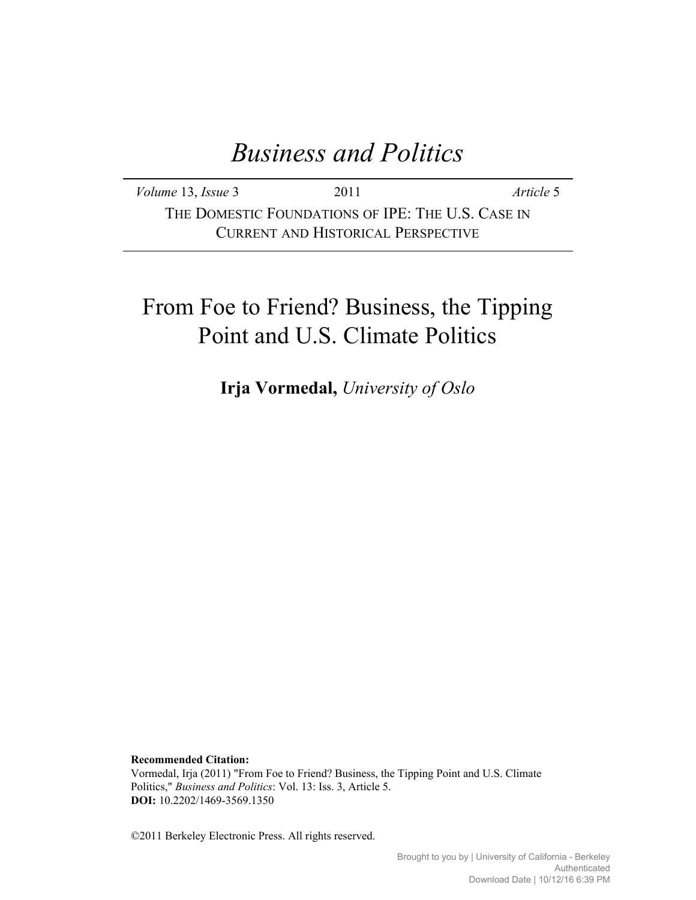## *Business and Politics*

*Volume* 13, *Issue* 3 2011 *Article* 5

THE DOMESTIC FOUNDATIONS OF IPE: THE U.S. CASE IN CURRENT AND HISTORICAL PERSPECTIVE

# From Foe to Friend? Business, the Tipping Point and U.S. Climate Politics

**Irja Vormedal,** *University of Oslo*

**Recommended Citation:** Vormedal, Irja (2011) "From Foe to Friend? Business, the Tipping Point and U.S. Climate Politics," *Business and Politics*: Vol. 13: Iss. 3, Article 5. **DOI:** 10.2202/1469-3569.1350

©2011 Berkeley Electronic Press. All rights reserved.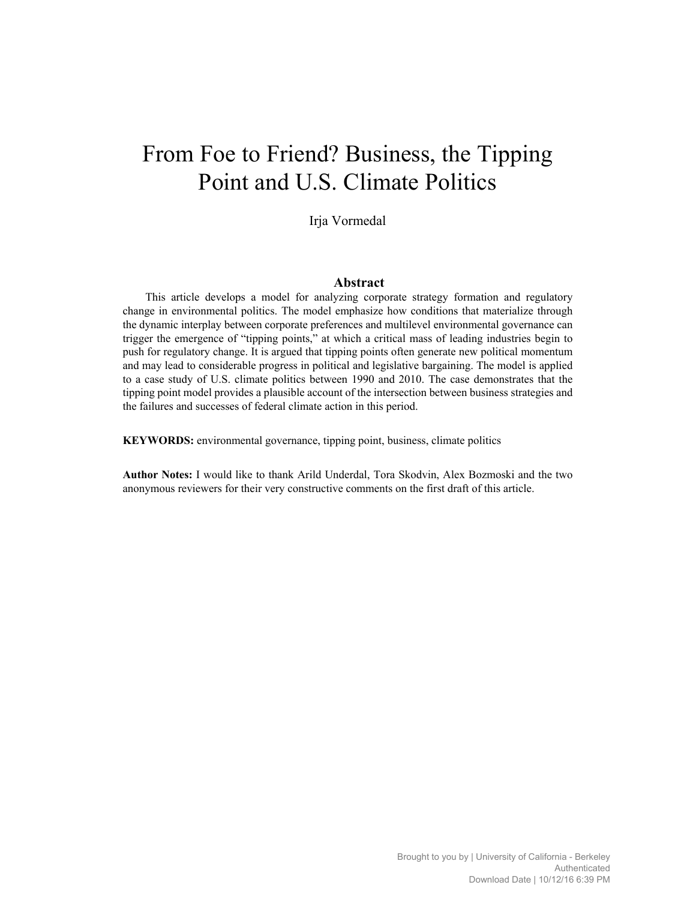## From Foe to Friend? Business, the Tipping Point and U.S. Climate Politics

Irja Vormedal

#### **Abstract**

This article develops a model for analyzing corporate strategy formation and regulatory change in environmental politics. The model emphasize how conditions that materialize through the dynamic interplay between corporate preferences and multilevel environmental governance can trigger the emergence of "tipping points," at which a critical mass of leading industries begin to push for regulatory change. It is argued that tipping points often generate new political momentum and may lead to considerable progress in political and legislative bargaining. The model is applied to a case study of U.S. climate politics between 1990 and 2010. The case demonstrates that the tipping point model provides a plausible account of the intersection between business strategies and the failures and successes of federal climate action in this period.

**KEYWORDS:** environmental governance, tipping point, business, climate politics

**Author Notes:** I would like to thank Arild Underdal, Tora Skodvin, Alex Bozmoski and the two anonymous reviewers for their very constructive comments on the first draft of this article.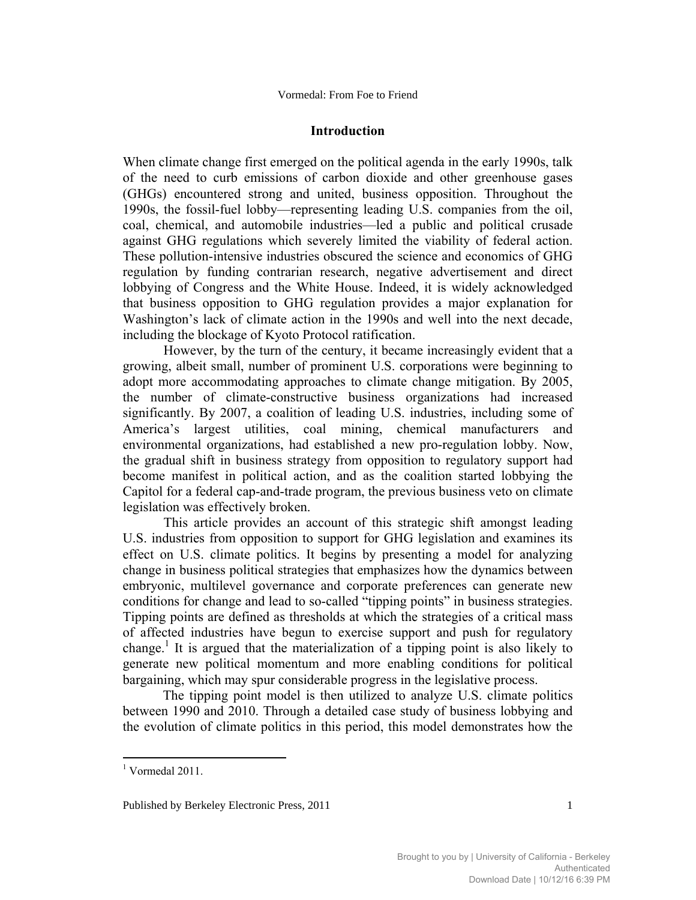## **Introduction**

When climate change first emerged on the political agenda in the early 1990s, talk of the need to curb emissions of carbon dioxide and other greenhouse gases (GHGs) encountered strong and united, business opposition. Throughout the 1990s, the fossil-fuel lobby—representing leading U.S. companies from the oil, coal, chemical, and automobile industries—led a public and political crusade against GHG regulations which severely limited the viability of federal action. These pollution-intensive industries obscured the science and economics of GHG regulation by funding contrarian research, negative advertisement and direct lobbying of Congress and the White House. Indeed, it is widely acknowledged that business opposition to GHG regulation provides a major explanation for Washington's lack of climate action in the 1990s and well into the next decade, including the blockage of Kyoto Protocol ratification.

 However, by the turn of the century, it became increasingly evident that a growing, albeit small, number of prominent U.S. corporations were beginning to adopt more accommodating approaches to climate change mitigation. By 2005, the number of climate-constructive business organizations had increased significantly. By 2007, a coalition of leading U.S. industries, including some of America's largest utilities, coal mining, chemical manufacturers and environmental organizations, had established a new pro-regulation lobby. Now, the gradual shift in business strategy from opposition to regulatory support had become manifest in political action, and as the coalition started lobbying the Capitol for a federal cap-and-trade program, the previous business veto on climate legislation was effectively broken.

 This article provides an account of this strategic shift amongst leading U.S. industries from opposition to support for GHG legislation and examines its effect on U.S. climate politics. It begins by presenting a model for analyzing change in business political strategies that emphasizes how the dynamics between embryonic, multilevel governance and corporate preferences can generate new conditions for change and lead to so-called "tipping points" in business strategies. Tipping points are defined as thresholds at which the strategies of a critical mass of affected industries have begun to exercise support and push for regulatory change.<sup>1</sup> It is argued that the materialization of a tipping point is also likely to generate new political momentum and more enabling conditions for political bargaining, which may spur considerable progress in the legislative process.

The tipping point model is then utilized to analyze U.S. climate politics between 1990 and 2010. Through a detailed case study of business lobbying and the evolution of climate politics in this period, this model demonstrates how the

<sup>1</sup> Vormedal 2011.

Published by Berkeley Electronic Press, 2011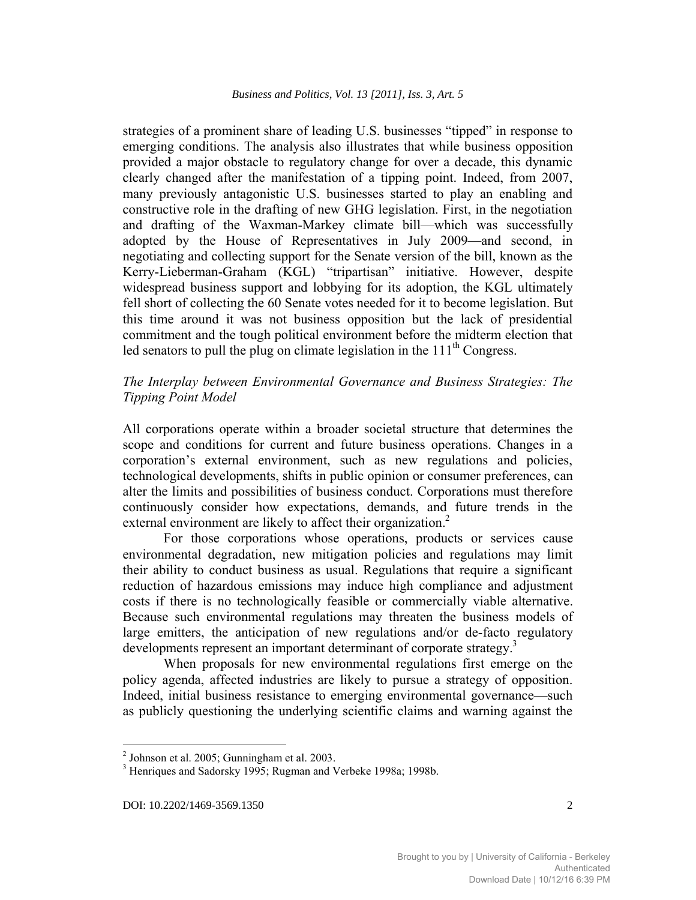strategies of a prominent share of leading U.S. businesses "tipped" in response to emerging conditions. The analysis also illustrates that while business opposition provided a major obstacle to regulatory change for over a decade, this dynamic clearly changed after the manifestation of a tipping point. Indeed, from 2007, many previously antagonistic U.S. businesses started to play an enabling and constructive role in the drafting of new GHG legislation. First, in the negotiation and drafting of the Waxman-Markey climate bill—which was successfully adopted by the House of Representatives in July 2009—and second, in negotiating and collecting support for the Senate version of the bill, known as the Kerry-Lieberman-Graham (KGL) "tripartisan" initiative. However, despite widespread business support and lobbying for its adoption, the KGL ultimately fell short of collecting the 60 Senate votes needed for it to become legislation. But this time around it was not business opposition but the lack of presidential commitment and the tough political environment before the midterm election that led senators to pull the plug on climate legislation in the  $111<sup>th</sup>$  Congress.

## *The Interplay between Environmental Governance and Business Strategies: The Tipping Point Model*

All corporations operate within a broader societal structure that determines the scope and conditions for current and future business operations. Changes in a corporation's external environment, such as new regulations and policies, technological developments, shifts in public opinion or consumer preferences, can alter the limits and possibilities of business conduct. Corporations must therefore continuously consider how expectations, demands, and future trends in the external environment are likely to affect their organization.<sup>2</sup>

For those corporations whose operations, products or services cause environmental degradation, new mitigation policies and regulations may limit their ability to conduct business as usual. Regulations that require a significant reduction of hazardous emissions may induce high compliance and adjustment costs if there is no technologically feasible or commercially viable alternative. Because such environmental regulations may threaten the business models of large emitters, the anticipation of new regulations and/or de-facto regulatory developments represent an important determinant of corporate strategy.<sup>3</sup>

When proposals for new environmental regulations first emerge on the policy agenda, affected industries are likely to pursue a strategy of opposition. Indeed, initial business resistance to emerging environmental governance—such as publicly questioning the underlying scientific claims and warning against the

 2 Johnson et al. 2005; Gunningham et al. 2003.

<sup>&</sup>lt;sup>3</sup> Henriques and Sadorsky 1995; Rugman and Verbeke 1998a; 1998b.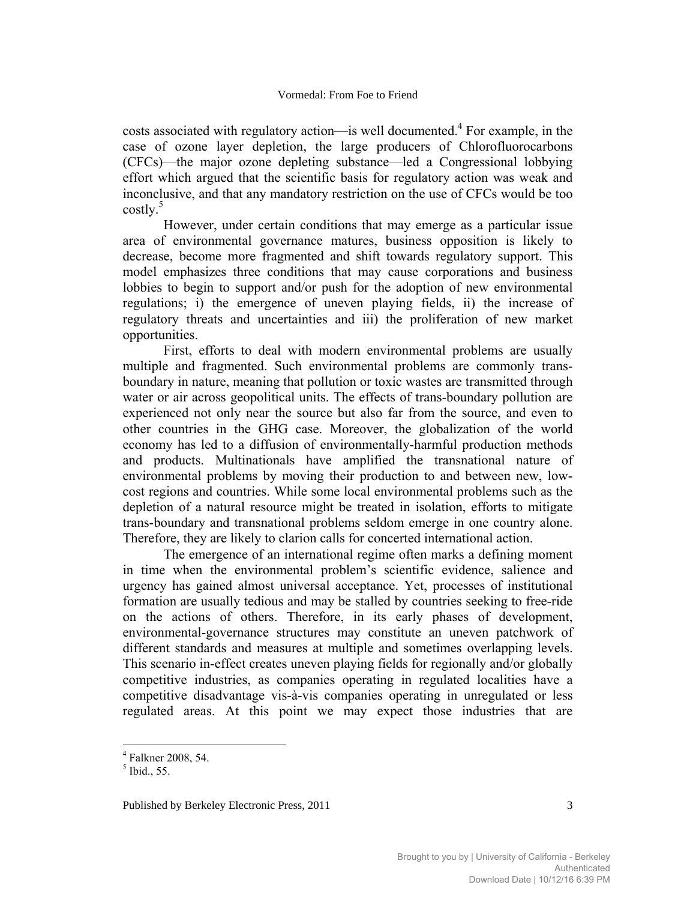costs associated with regulatory action—is well documented.<sup>4</sup> For example, in the case of ozone layer depletion, the large producers of Chlorofluorocarbons (CFCs)—the major ozone depleting substance—led a Congressional lobbying effort which argued that the scientific basis for regulatory action was weak and inconclusive, and that any mandatory restriction on the use of CFCs would be too  $costlv<sub>1</sub>$ <sup>5</sup>

However, under certain conditions that may emerge as a particular issue area of environmental governance matures, business opposition is likely to decrease, become more fragmented and shift towards regulatory support. This model emphasizes three conditions that may cause corporations and business lobbies to begin to support and/or push for the adoption of new environmental regulations; i) the emergence of uneven playing fields, ii) the increase of regulatory threats and uncertainties and iii) the proliferation of new market opportunities.

First, efforts to deal with modern environmental problems are usually multiple and fragmented. Such environmental problems are commonly transboundary in nature, meaning that pollution or toxic wastes are transmitted through water or air across geopolitical units. The effects of trans-boundary pollution are experienced not only near the source but also far from the source, and even to other countries in the GHG case. Moreover, the globalization of the world economy has led to a diffusion of environmentally-harmful production methods and products. Multinationals have amplified the transnational nature of environmental problems by moving their production to and between new, lowcost regions and countries. While some local environmental problems such as the depletion of a natural resource might be treated in isolation, efforts to mitigate trans-boundary and transnational problems seldom emerge in one country alone. Therefore, they are likely to clarion calls for concerted international action.

The emergence of an international regime often marks a defining moment in time when the environmental problem's scientific evidence, salience and urgency has gained almost universal acceptance. Yet, processes of institutional formation are usually tedious and may be stalled by countries seeking to free-ride on the actions of others. Therefore, in its early phases of development, environmental-governance structures may constitute an uneven patchwork of different standards and measures at multiple and sometimes overlapping levels. This scenario in-effect creates uneven playing fields for regionally and/or globally competitive industries, as companies operating in regulated localities have a competitive disadvantage vis-à-vis companies operating in unregulated or less regulated areas. At this point we may expect those industries that are

<sup>4</sup> Falkner 2008, 54.

 $<sup>5</sup>$  Ibid., 55.</sup>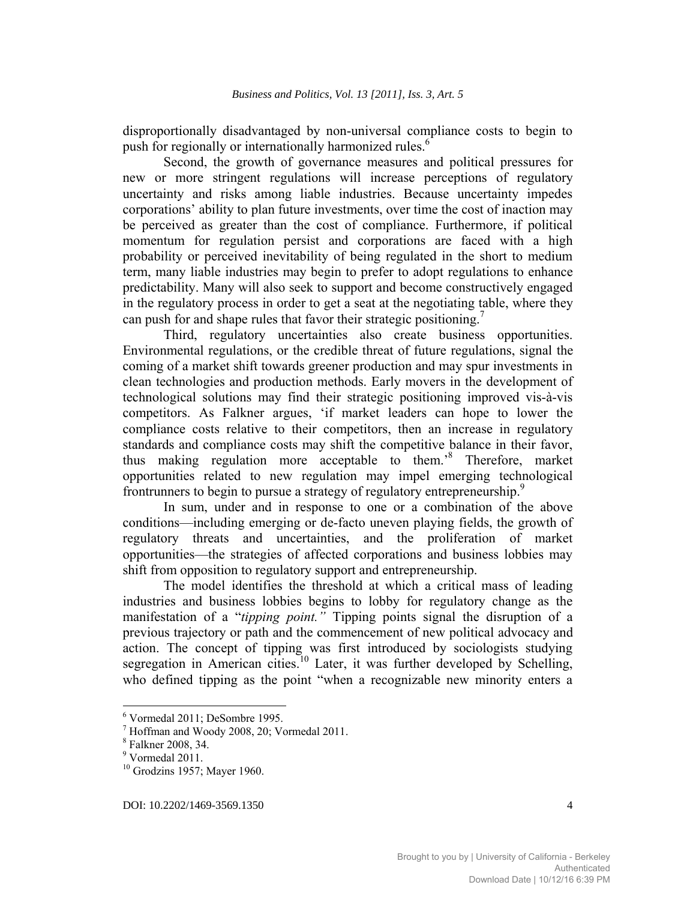disproportionally disadvantaged by non-universal compliance costs to begin to push for regionally or internationally harmonized rules.<sup>6</sup>

Second, the growth of governance measures and political pressures for new or more stringent regulations will increase perceptions of regulatory uncertainty and risks among liable industries. Because uncertainty impedes corporations' ability to plan future investments, over time the cost of inaction may be perceived as greater than the cost of compliance. Furthermore, if political momentum for regulation persist and corporations are faced with a high probability or perceived inevitability of being regulated in the short to medium term, many liable industries may begin to prefer to adopt regulations to enhance predictability. Many will also seek to support and become constructively engaged in the regulatory process in order to get a seat at the negotiating table, where they can push for and shape rules that favor their strategic positioning.<sup>7</sup>

Third, regulatory uncertainties also create business opportunities. Environmental regulations, or the credible threat of future regulations, signal the coming of a market shift towards greener production and may spur investments in clean technologies and production methods. Early movers in the development of technological solutions may find their strategic positioning improved vis-à-vis competitors. As Falkner argues, 'if market leaders can hope to lower the compliance costs relative to their competitors, then an increase in regulatory standards and compliance costs may shift the competitive balance in their favor, thus making regulation more acceptable to them.'8 Therefore, market opportunities related to new regulation may impel emerging technological frontrunners to begin to pursue a strategy of regulatory entrepreneurship.<sup>9</sup>

In sum, under and in response to one or a combination of the above conditions—including emerging or de-facto uneven playing fields, the growth of regulatory threats and uncertainties, and the proliferation of market opportunities—the strategies of affected corporations and business lobbies may shift from opposition to regulatory support and entrepreneurship.

The model identifies the threshold at which a critical mass of leading industries and business lobbies begins to lobby for regulatory change as the manifestation of a "*tipping point."* Tipping points signal the disruption of a previous trajectory or path and the commencement of new political advocacy and action. The concept of tipping was first introduced by sociologists studying segregation in American cities.<sup>10</sup> Later, it was further developed by Schelling, who defined tipping as the point "when a recognizable new minority enters a

<sup>6</sup> Vormedal 2011; DeSombre 1995.

<sup>&</sup>lt;sup>7</sup> Hoffman and Woody 2008, 20; Vormedal 2011.

<sup>8</sup> Falkner 2008, 34.

<sup>&</sup>lt;sup>9</sup> Vormedal 2011.

<sup>&</sup>lt;sup>10</sup> Grodzins 1957; Mayer 1960.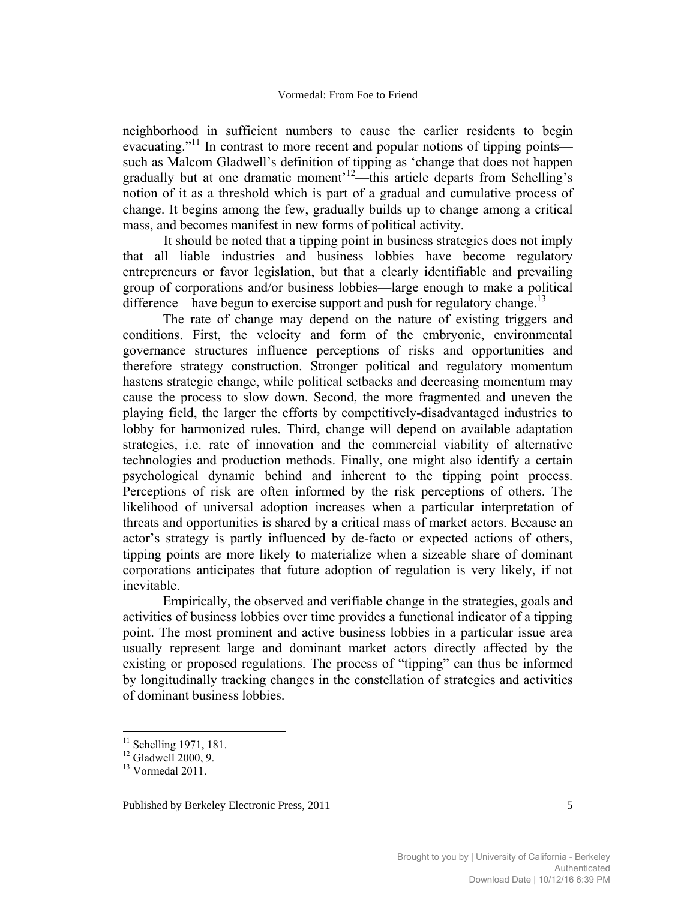neighborhood in sufficient numbers to cause the earlier residents to begin evacuating."<sup>11</sup> In contrast to more recent and popular notions of tipping points such as Malcom Gladwell's definition of tipping as 'change that does not happen gradually but at one dramatic moment<sup>12</sup>—this article departs from Schelling's notion of it as a threshold which is part of a gradual and cumulative process of change. It begins among the few, gradually builds up to change among a critical mass, and becomes manifest in new forms of political activity.

It should be noted that a tipping point in business strategies does not imply that all liable industries and business lobbies have become regulatory entrepreneurs or favor legislation, but that a clearly identifiable and prevailing group of corporations and/or business lobbies—large enough to make a political difference—have begun to exercise support and push for regulatory change.<sup>13</sup>

The rate of change may depend on the nature of existing triggers and conditions. First, the velocity and form of the embryonic, environmental governance structures influence perceptions of risks and opportunities and therefore strategy construction. Stronger political and regulatory momentum hastens strategic change, while political setbacks and decreasing momentum may cause the process to slow down. Second, the more fragmented and uneven the playing field, the larger the efforts by competitively-disadvantaged industries to lobby for harmonized rules. Third, change will depend on available adaptation strategies, i.e. rate of innovation and the commercial viability of alternative technologies and production methods. Finally, one might also identify a certain psychological dynamic behind and inherent to the tipping point process. Perceptions of risk are often informed by the risk perceptions of others. The likelihood of universal adoption increases when a particular interpretation of threats and opportunities is shared by a critical mass of market actors. Because an actor's strategy is partly influenced by de-facto or expected actions of others, tipping points are more likely to materialize when a sizeable share of dominant corporations anticipates that future adoption of regulation is very likely, if not inevitable.

Empirically, the observed and verifiable change in the strategies, goals and activities of business lobbies over time provides a functional indicator of a tipping point. The most prominent and active business lobbies in a particular issue area usually represent large and dominant market actors directly affected by the existing or proposed regulations. The process of "tipping" can thus be informed by longitudinally tracking changes in the constellation of strategies and activities of dominant business lobbies.

1

 $11$  Schelling 1971, 181.

 $12$  Gladwell 2000, 9.

 $13$  Vormedal 2011.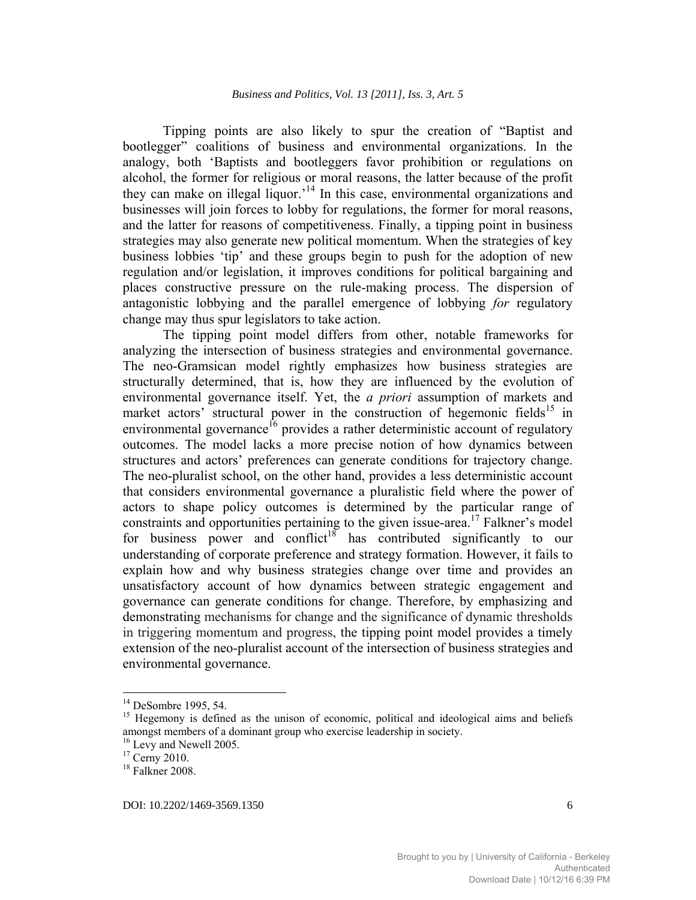Tipping points are also likely to spur the creation of "Baptist and bootlegger" coalitions of business and environmental organizations. In the analogy, both 'Baptists and bootleggers favor prohibition or regulations on alcohol, the former for religious or moral reasons, the latter because of the profit they can make on illegal liquor.<sup>14</sup> In this case, environmental organizations and businesses will join forces to lobby for regulations, the former for moral reasons, and the latter for reasons of competitiveness. Finally, a tipping point in business strategies may also generate new political momentum. When the strategies of key business lobbies 'tip' and these groups begin to push for the adoption of new regulation and/or legislation, it improves conditions for political bargaining and places constructive pressure on the rule-making process. The dispersion of antagonistic lobbying and the parallel emergence of lobbying *for* regulatory change may thus spur legislators to take action.

The tipping point model differs from other, notable frameworks for analyzing the intersection of business strategies and environmental governance. The neo-Gramsican model rightly emphasizes how business strategies are structurally determined, that is, how they are influenced by the evolution of environmental governance itself. Yet, the *a priori* assumption of markets and market actors' structural power in the construction of hegemonic fields<sup>15</sup> in environmental governance<sup>16</sup> provides a rather deterministic account of regulatory outcomes. The model lacks a more precise notion of how dynamics between structures and actors' preferences can generate conditions for trajectory change. The neo-pluralist school, on the other hand, provides a less deterministic account that considers environmental governance a pluralistic field where the power of actors to shape policy outcomes is determined by the particular range of constraints and opportunities pertaining to the given issue-area.17 Falkner's model for business power and conflict<sup>18</sup> has contributed significantly to our understanding of corporate preference and strategy formation. However, it fails to explain how and why business strategies change over time and provides an unsatisfactory account of how dynamics between strategic engagement and governance can generate conditions for change. Therefore, by emphasizing and demonstrating mechanisms for change and the significance of dynamic thresholds in triggering momentum and progress, the tipping point model provides a timely extension of the neo-pluralist account of the intersection of business strategies and environmental governance.

<sup>&</sup>lt;sup>14</sup> DeSombre 1995, 54.

<sup>&</sup>lt;sup>15</sup> Hegemony is defined as the unison of economic, political and ideological aims and beliefs amongst members of a dominant group who exercise leadership in society.

<sup>&</sup>lt;sup>16</sup> Levy and Newell 2005.

<sup>&</sup>lt;sup>17</sup> Cerny 2010.

<sup>&</sup>lt;sup>18</sup> Falkner 2008.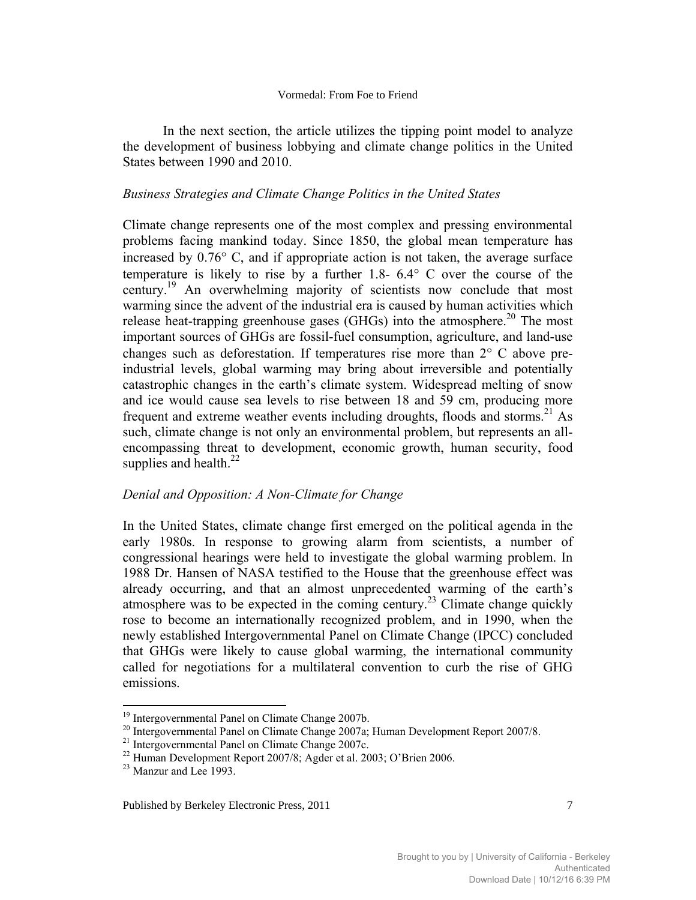In the next section, the article utilizes the tipping point model to analyze the development of business lobbying and climate change politics in the United States between 1990 and 2010.

## *Business Strategies and Climate Change Politics in the United States*

Climate change represents one of the most complex and pressing environmental problems facing mankind today. Since 1850, the global mean temperature has increased by 0.76° C, and if appropriate action is not taken, the average surface temperature is likely to rise by a further 1.8- 6.4° C over the course of the century.19 An overwhelming majority of scientists now conclude that most warming since the advent of the industrial era is caused by human activities which release heat-trapping greenhouse gases (GHGs) into the atmosphere.<sup>20</sup> The most important sources of GHGs are fossil-fuel consumption, agriculture, and land-use changes such as deforestation. If temperatures rise more than 2° C above preindustrial levels, global warming may bring about irreversible and potentially catastrophic changes in the earth's climate system. Widespread melting of snow and ice would cause sea levels to rise between 18 and 59 cm, producing more frequent and extreme weather events including droughts, floods and storms.<sup>21</sup> As such, climate change is not only an environmental problem, but represents an allencompassing threat to development, economic growth, human security, food supplies and health. $^{22}$ 

## *Denial and Opposition: A Non-Climate for Change*

In the United States, climate change first emerged on the political agenda in the early 1980s. In response to growing alarm from scientists, a number of congressional hearings were held to investigate the global warming problem. In 1988 Dr. Hansen of NASA testified to the House that the greenhouse effect was already occurring, and that an almost unprecedented warming of the earth's atmosphere was to be expected in the coming century.<sup>23</sup> Climate change quickly rose to become an internationally recognized problem, and in 1990, when the newly established Intergovernmental Panel on Climate Change (IPCC) concluded that GHGs were likely to cause global warming, the international community called for negotiations for a multilateral convention to curb the rise of GHG emissions.

1

<sup>&</sup>lt;sup>19</sup> Intergovernmental Panel on Climate Change 2007b.

<sup>&</sup>lt;sup>20</sup> Intergovernmental Panel on Climate Change 2007a; Human Development Report 2007/8.

<sup>&</sup>lt;sup>21</sup> Intergovernmental Panel on Climate Change 2007c.

<sup>&</sup>lt;sup>22</sup> Human Development Report 2007/8; Agder et al. 2003; O'Brien 2006.

 $23$  Manzur and Lee 1993.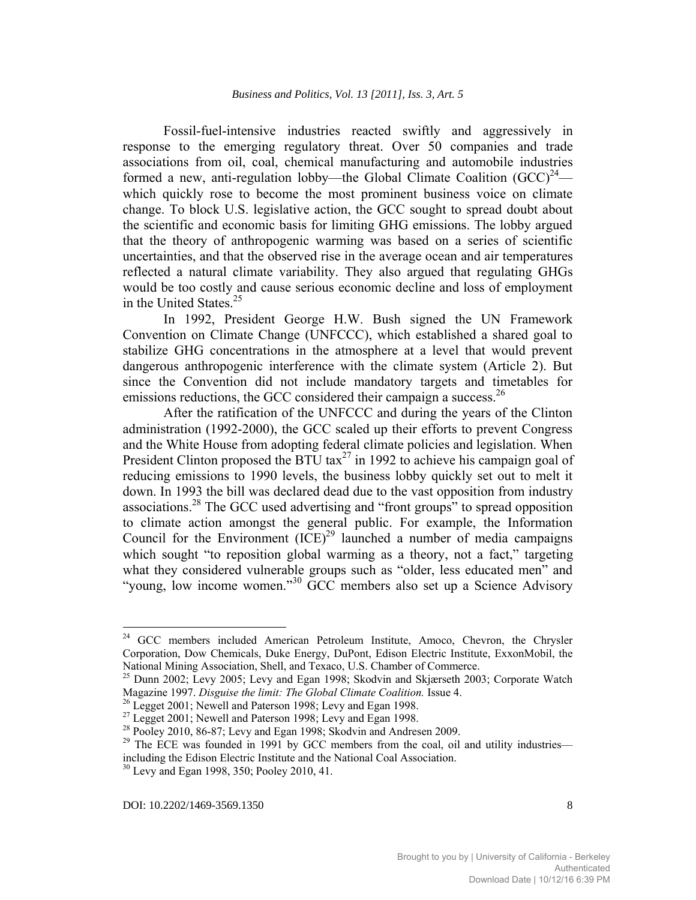Fossil-fuel-intensive industries reacted swiftly and aggressively in response to the emerging regulatory threat. Over 50 companies and trade associations from oil, coal, chemical manufacturing and automobile industries formed a new, anti-regulation lobby—the Global Climate Coalition  $(GCC)^{24}$  which quickly rose to become the most prominent business voice on climate change. To block U.S. legislative action, the GCC sought to spread doubt about the scientific and economic basis for limiting GHG emissions. The lobby argued that the theory of anthropogenic warming was based on a series of scientific uncertainties, and that the observed rise in the average ocean and air temperatures reflected a natural climate variability. They also argued that regulating GHGs would be too costly and cause serious economic decline and loss of employment in the United States. $25$ 

In 1992, President George H.W. Bush signed the UN Framework Convention on Climate Change (UNFCCC), which established a shared goal to stabilize GHG concentrations in the atmosphere at a level that would prevent dangerous anthropogenic interference with the climate system (Article 2). But since the Convention did not include mandatory targets and timetables for emissions reductions, the GCC considered their campaign a success.<sup>26</sup>

After the ratification of the UNFCCC and during the years of the Clinton administration (1992-2000), the GCC scaled up their efforts to prevent Congress and the White House from adopting federal climate policies and legislation. When President Clinton proposed the BTU tax<sup>27</sup> in 1992 to achieve his campaign goal of reducing emissions to 1990 levels, the business lobby quickly set out to melt it down. In 1993 the bill was declared dead due to the vast opposition from industry associations.28 The GCC used advertising and "front groups" to spread opposition to climate action amongst the general public. For example, the Information Council for the Environment  ${(ICE)}^{29}$  launched a number of media campaigns which sought "to reposition global warming as a theory, not a fact," targeting what they considered vulnerable groups such as "older, less educated men" and "young, low income women."30 GCC members also set up a Science Advisory

<sup>&</sup>lt;sup>24</sup> GCC members included American Petroleum Institute, Amoco, Chevron, the Chrysler Corporation, Dow Chemicals, Duke Energy, DuPont, Edison Electric Institute, ExxonMobil, the National Mining Association, Shell, and Texaco, U.S. Chamber of Commerce.

<sup>&</sup>lt;sup>25</sup> Dunn 2002; Levy 2005; Levy and Egan 1998; Skodvin and Skjærseth 2003; Corporate Watch Magazine 1997. *Disguise the limit: The Global Climate Coalition.* Issue 4. 26

 $^{26}$  Legget 2001; Newell and Paterson 1998; Levy and Egan 1998.

 $^{27}$  Legget 2001; Newell and Paterson 1998; Levy and Egan 1998.

<sup>&</sup>lt;sup>28</sup> Pooley 2010, 86-87; Levy and Egan 1998; Skodvin and Andresen 2009.

 $29$  The ECE was founded in 1991 by GCC members from the coal, oil and utility industries including the Edison Electric Institute and the National Coal Association.

<sup>30</sup> Levy and Egan 1998, 350; Pooley 2010, 41.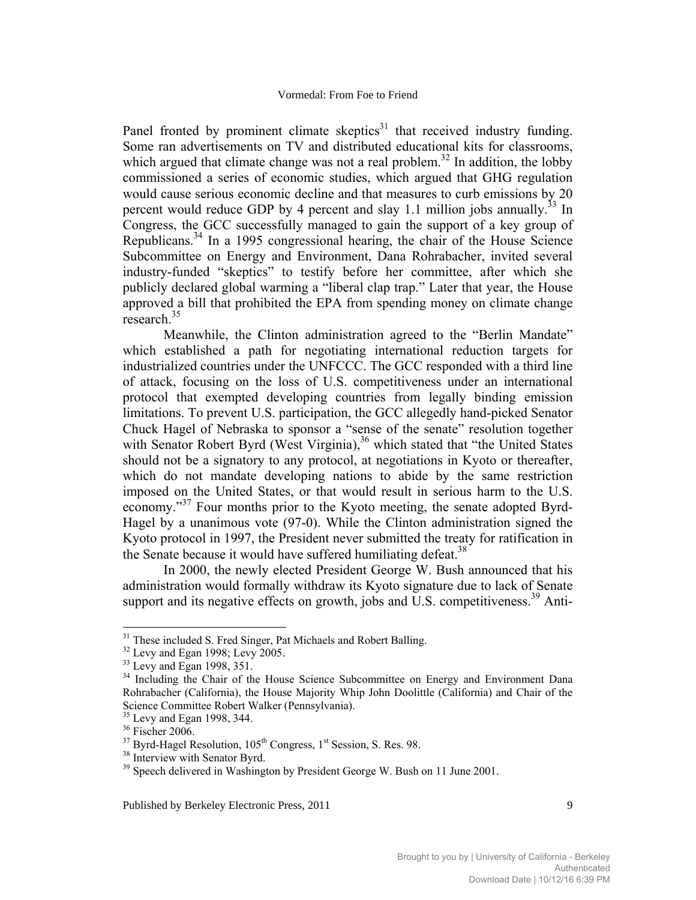Panel fronted by prominent climate skeptics $31$  that received industry funding. Some ran advertisements on TV and distributed educational kits for classrooms, which argued that climate change was not a real problem.<sup>32</sup> In addition, the lobby commissioned a series of economic studies, which argued that GHG regulation would cause serious economic decline and that measures to curb emissions by 20 percent would reduce GDP by 4 percent and slay 1.1 million jobs annually.<sup>33</sup> In Congress, the GCC successfully managed to gain the support of a key group of Republicans.34 In a 1995 congressional hearing, the chair of the House Science Subcommittee on Energy and Environment, Dana Rohrabacher, invited several industry-funded "skeptics" to testify before her committee, after which she publicly declared global warming a "liberal clap trap." Later that year, the House approved a bill that prohibited the EPA from spending money on climate change research.<sup>35</sup>

Meanwhile, the Clinton administration agreed to the "Berlin Mandate" which established a path for negotiating international reduction targets for industrialized countries under the UNFCCC. The GCC responded with a third line of attack, focusing on the loss of U.S. competitiveness under an international protocol that exempted developing countries from legally binding emission limitations. To prevent U.S. participation, the GCC allegedly hand-picked Senator Chuck Hagel of Nebraska to sponsor a "sense of the senate" resolution together with Senator Robert Byrd (West Virginia),<sup>36</sup> which stated that "the United States should not be a signatory to any protocol, at negotiations in Kyoto or thereafter, which do not mandate developing nations to abide by the same restriction imposed on the United States, or that would result in serious harm to the U.S. economy."<sup>37</sup> Four months prior to the Kyoto meeting, the senate adopted Byrd-Hagel by a unanimous vote (97-0). While the Clinton administration signed the Kyoto protocol in 1997, the President never submitted the treaty for ratification in the Senate because it would have suffered humiliating defeat.<sup>38</sup>

In 2000, the newly elected President George W. Bush announced that his administration would formally withdraw its Kyoto signature due to lack of Senate support and its negative effects on growth, jobs and U.S. competitiveness.<sup>39</sup> Anti-

<sup>&</sup>lt;sup>31</sup> These included S. Fred Singer, Pat Michaels and Robert Balling.  $32$  Levy and Egan 1998; Levy 2005.

 $32$  Levy and Egan 1998; Levy 2005.<br> $33$  Levy and Egan 1998, 351.

<sup>&</sup>lt;sup>34</sup> Including the Chair of the House Science Subcommittee on Energy and Environment Dana Rohrabacher (California), the House Majority Whip John Doolittle (California) and Chair of the Science Committee Robert Walker (Pennsylvania).

<sup>&</sup>lt;sup>35</sup> Levy and Egan 1998, 344.

<sup>36</sup> Fischer 2006.

 $37$  Byrd-Hagel Resolution,  $105<sup>th</sup>$  Congress,  $1<sup>st</sup>$  Session, S. Res. 98. 38 Interview with Senator Byrd.

<sup>&</sup>lt;sup>39</sup> Speech delivered in Washington by President George W. Bush on 11 June 2001.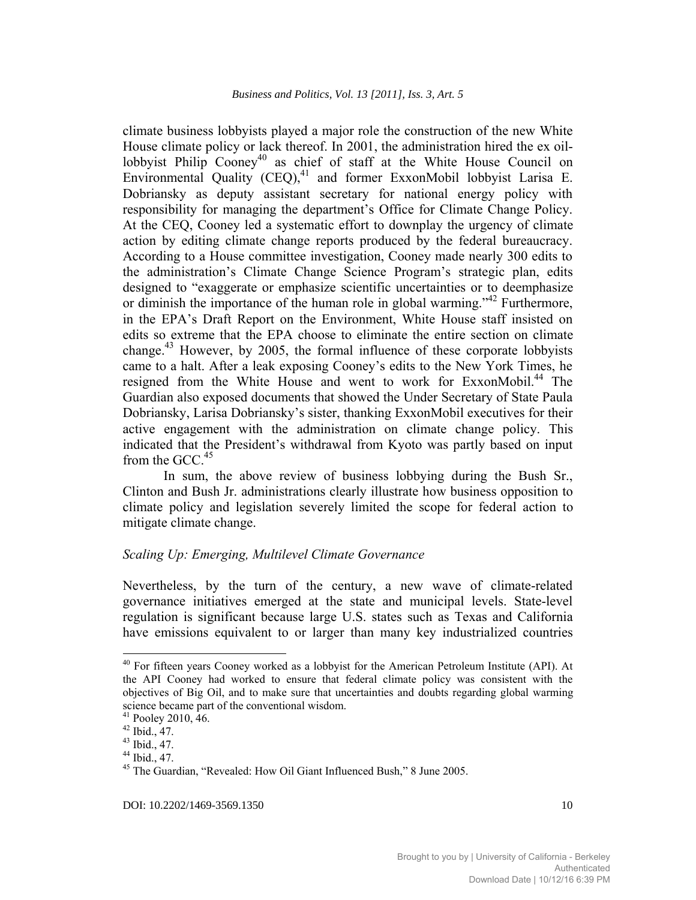climate business lobbyists played a major role the construction of the new White House climate policy or lack thereof. In 2001, the administration hired the ex oillobbyist Philip Cooney<sup>40</sup> as chief of staff at the White House Council on Environmental Quality  $(CEQ)$ ,<sup>41</sup> and former ExxonMobil lobbyist Larisa E. Dobriansky as deputy assistant secretary for national energy policy with responsibility for managing the department's Office for Climate Change Policy. At the CEQ, Cooney led a systematic effort to downplay the urgency of climate action by editing climate change reports produced by the federal bureaucracy. According to a House committee investigation, Cooney made nearly 300 edits to the administration's Climate Change Science Program's strategic plan, edits designed to "exaggerate or emphasize scientific uncertainties or to deemphasize or diminish the importance of the human role in global warming.<sup> $342$ </sup> Furthermore, in the EPA's Draft Report on the Environment, White House staff insisted on edits so extreme that the EPA choose to eliminate the entire section on climate change.<sup>43</sup> However, by 2005, the formal influence of these corporate lobbyists came to a halt. After a leak exposing Cooney's edits to the New York Times, he resigned from the White House and went to work for ExxonMobil.<sup>44</sup> The Guardian also exposed documents that showed the Under Secretary of State Paula Dobriansky, Larisa Dobriansky's sister, thanking ExxonMobil executives for their active engagement with the administration on climate change policy. This indicated that the President's withdrawal from Kyoto was partly based on input from the GCC. $45$ 

In sum, the above review of business lobbying during the Bush Sr., Clinton and Bush Jr. administrations clearly illustrate how business opposition to climate policy and legislation severely limited the scope for federal action to mitigate climate change.

## *Scaling Up: Emerging, Multilevel Climate Governance*

Nevertheless, by the turn of the century, a new wave of climate-related governance initiatives emerged at the state and municipal levels. State-level regulation is significant because large U.S. states such as Texas and California have emissions equivalent to or larger than many key industrialized countries

<sup>&</sup>lt;sup>40</sup> For fifteen years Cooney worked as a lobbyist for the American Petroleum Institute (API). At the API Cooney had worked to ensure that federal climate policy was consistent with the objectives of Big Oil, and to make sure that uncertainties and doubts regarding global warming science became part of the conventional wisdom.

<sup>41</sup> Pooley 2010, 46.

 $42$  Ibid., 47.

 $43$  Ibid., 47.

 $44$  Ibid., 47.

<sup>&</sup>lt;sup>45</sup> The Guardian, "Revealed: How Oil Giant Influenced Bush," 8 June 2005.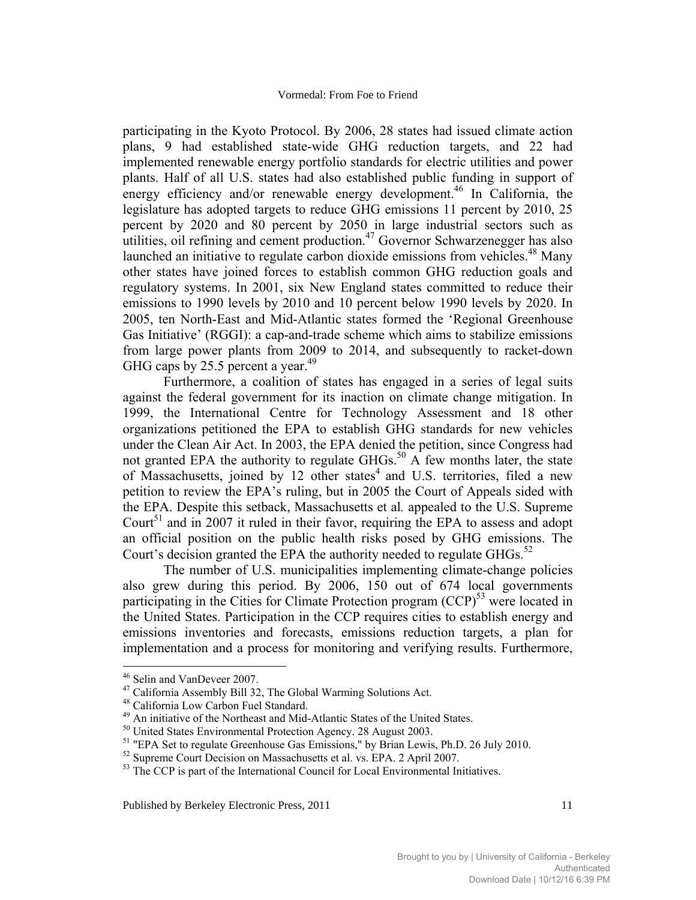participating in the Kyoto Protocol. By 2006, 28 states had issued climate action plans, 9 had established state-wide GHG reduction targets, and 22 had implemented renewable energy portfolio standards for electric utilities and power plants. Half of all U.S. states had also established public funding in support of energy efficiency and/or renewable energy development.<sup>46</sup> In California, the legislature has adopted targets to reduce GHG emissions 11 percent by 2010, 25 percent by 2020 and 80 percent by 2050 in large industrial sectors such as utilities, oil refining and cement production.<sup>47</sup> Governor Schwarzenegger has also launched an initiative to regulate carbon dioxide emissions from vehicles.<sup>48</sup> Many other states have joined forces to establish common GHG reduction goals and regulatory systems. In 2001, six New England states committed to reduce their emissions to 1990 levels by 2010 and 10 percent below 1990 levels by 2020. In 2005, ten North-East and Mid-Atlantic states formed the 'Regional Greenhouse Gas Initiative' (RGGI): a cap-and-trade scheme which aims to stabilize emissions from large power plants from 2009 to 2014, and subsequently to racket-down GHG caps by 25.5 percent a year.<sup>49</sup>

 Furthermore, a coalition of states has engaged in a series of legal suits against the federal government for its inaction on climate change mitigation. In 1999, the International Centre for Technology Assessment and 18 other organizations petitioned the EPA to establish GHG standards for new vehicles under the Clean Air Act. In 2003, the EPA denied the petition, since Congress had not granted EPA the authority to regulate  $GHGs$ <sup>50</sup> A few months later, the state of Massachusetts, joined by 12 other states<sup>4</sup> and U.S. territories, filed a new petition to review the EPA's ruling, but in 2005 the Court of Appeals sided with the EPA. Despite this setback, Massachusetts et al*.* appealed to the U.S. Supreme Court<sup>51</sup> and in 2007 it ruled in their favor, requiring the EPA to assess and adopt an official position on the public health risks posed by GHG emissions. The Court's decision granted the EPA the authority needed to regulate  $GHGs$ <sup>52</sup>

 The number of U.S. municipalities implementing climate-change policies also grew during this period. By 2006, 150 out of 674 local governments participating in the Cities for Climate Protection program  $(CCP)^{53}$  were located in the United States. Participation in the CCP requires cities to establish energy and emissions inventories and forecasts, emissions reduction targets, a plan for implementation and a process for monitoring and verifying results. Furthermore,

1

<sup>46</sup> Selin and VanDeveer 2007.

<sup>47</sup> California Assembly Bill 32, The Global Warming Solutions Act.

<sup>48</sup> California Low Carbon Fuel Standard.

 $^{49}$  An initiative of the Northeast and Mid-Atlantic States of the United States.<br><sup>50</sup> United States Environmental Protection Agency. 28 August 2003.

<sup>&</sup>lt;sup>51</sup> "EPA Set to regulate Greenhouse Gas Emissions," by Brian Lewis, Ph.D. 26 July 2010.<br><sup>52</sup> Supreme Court Decision on Massachusetts et al. vs. EPA. 2 April 2007.<br><sup>53</sup> The CCP is part of the International Council for Loc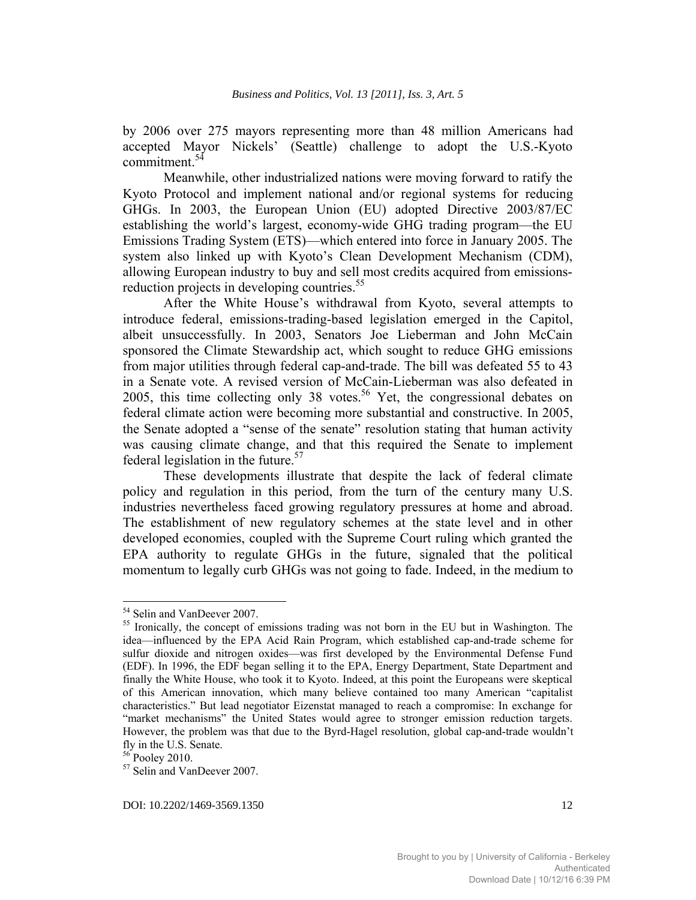by 2006 over 275 mayors representing more than 48 million Americans had accepted Mayor Nickels' (Seattle) challenge to adopt the U.S.-Kyoto commitment.<sup>54</sup>

Meanwhile, other industrialized nations were moving forward to ratify the Kyoto Protocol and implement national and/or regional systems for reducing GHGs. In 2003, the European Union (EU) adopted Directive 2003/87/EC establishing the world's largest, economy-wide GHG trading program—the EU Emissions Trading System (ETS)—which entered into force in January 2005. The system also linked up with Kyoto's Clean Development Mechanism (CDM), allowing European industry to buy and sell most credits acquired from emissionsreduction projects in developing countries.<sup>55</sup>

After the White House's withdrawal from Kyoto, several attempts to introduce federal, emissions-trading-based legislation emerged in the Capitol, albeit unsuccessfully. In 2003, Senators Joe Lieberman and John McCain sponsored the Climate Stewardship act, which sought to reduce GHG emissions from major utilities through federal cap-and-trade. The bill was defeated 55 to 43 in a Senate vote. A revised version of McCain-Lieberman was also defeated in  $2005$ , this time collecting only 38 votes.<sup>56</sup> Yet, the congressional debates on federal climate action were becoming more substantial and constructive. In 2005, the Senate adopted a "sense of the senate" resolution stating that human activity was causing climate change, and that this required the Senate to implement federal legislation in the future. $57$ 

These developments illustrate that despite the lack of federal climate policy and regulation in this period, from the turn of the century many U.S. industries nevertheless faced growing regulatory pressures at home and abroad. The establishment of new regulatory schemes at the state level and in other developed economies, coupled with the Supreme Court ruling which granted the EPA authority to regulate GHGs in the future, signaled that the political momentum to legally curb GHGs was not going to fade. Indeed, in the medium to

<sup>&</sup>lt;sup>54</sup> Selin and VanDeever 2007.

<sup>&</sup>lt;sup>55</sup> Ironically, the concept of emissions trading was not born in the EU but in Washington. The idea—influenced by the EPA Acid Rain Program, which established cap-and-trade scheme for sulfur dioxide and nitrogen oxides—was first developed by the Environmental Defense Fund (EDF). In 1996, the EDF began selling it to the EPA, Energy Department, State Department and finally the White House, who took it to Kyoto. Indeed, at this point the Europeans were skeptical of this American innovation, which many believe contained too many American "capitalist characteristics." But lead negotiator Eizenstat managed to reach a compromise: In exchange for "market mechanisms" the United States would agree to stronger emission reduction targets. However, the problem was that due to the Byrd-Hagel resolution, global cap-and-trade wouldn't fly in the U.S. Senate.

<sup>56</sup> Pooley 2010.

<sup>57</sup> Selin and VanDeever 2007.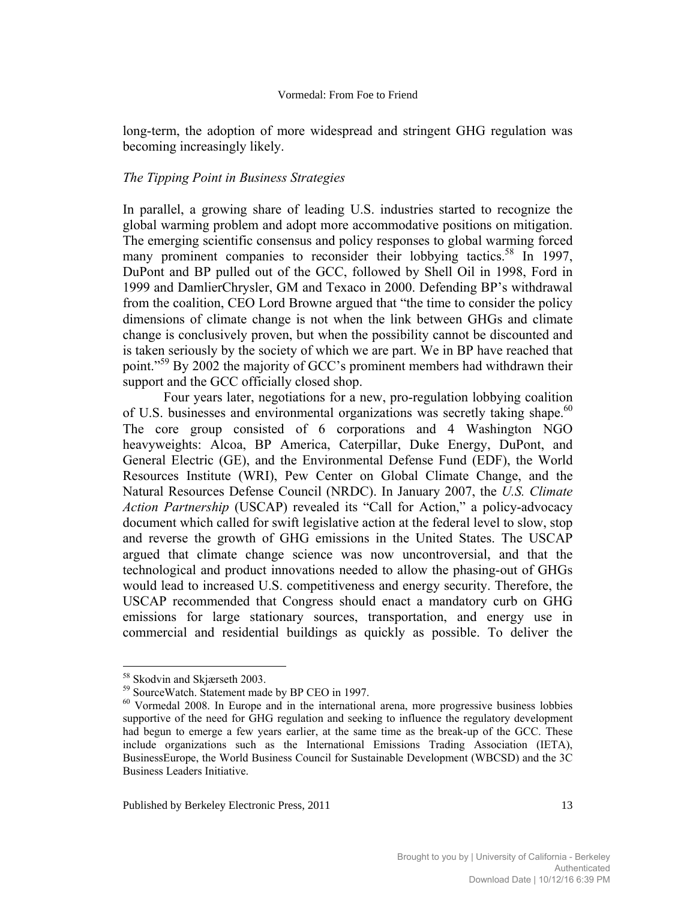long-term, the adoption of more widespread and stringent GHG regulation was becoming increasingly likely.

## *The Tipping Point in Business Strategies*

In parallel, a growing share of leading U.S. industries started to recognize the global warming problem and adopt more accommodative positions on mitigation. The emerging scientific consensus and policy responses to global warming forced many prominent companies to reconsider their lobbying tactics.<sup>58</sup> In 1997, DuPont and BP pulled out of the GCC, followed by Shell Oil in 1998, Ford in 1999 and DamlierChrysler, GM and Texaco in 2000. Defending BP's withdrawal from the coalition, CEO Lord Browne argued that "the time to consider the policy dimensions of climate change is not when the link between GHGs and climate change is conclusively proven, but when the possibility cannot be discounted and is taken seriously by the society of which we are part. We in BP have reached that point."<sup>59</sup> By 2002 the majority of GCC's prominent members had withdrawn their support and the GCC officially closed shop.

 Four years later, negotiations for a new, pro-regulation lobbying coalition of U.S. businesses and environmental organizations was secretly taking shape.<sup>60</sup> The core group consisted of 6 corporations and 4 Washington NGO heavyweights: Alcoa, BP America, Caterpillar, Duke Energy, DuPont, and General Electric (GE), and the Environmental Defense Fund (EDF), the World Resources Institute (WRI), Pew Center on Global Climate Change, and the Natural Resources Defense Council (NRDC). In January 2007, the *U.S. Climate Action Partnership* (USCAP) revealed its "Call for Action," a policy-advocacy document which called for swift legislative action at the federal level to slow, stop and reverse the growth of GHG emissions in the United States. The USCAP argued that climate change science was now uncontroversial, and that the technological and product innovations needed to allow the phasing-out of GHGs would lead to increased U.S. competitiveness and energy security. Therefore, the USCAP recommended that Congress should enact a mandatory curb on GHG emissions for large stationary sources, transportation, and energy use in commercial and residential buildings as quickly as possible. To deliver the

1

<sup>58</sup> Skodvin and Skjærseth 2003.

<sup>59</sup> SourceWatch. Statement made by BP CEO in 1997.

<sup>60</sup> Vormedal 2008. In Europe and in the international arena, more progressive business lobbies supportive of the need for GHG regulation and seeking to influence the regulatory development had begun to emerge a few years earlier, at the same time as the break-up of the GCC. These include organizations such as the International Emissions Trading Association (IETA), BusinessEurope, the World Business Council for Sustainable Development (WBCSD) and the 3C Business Leaders Initiative.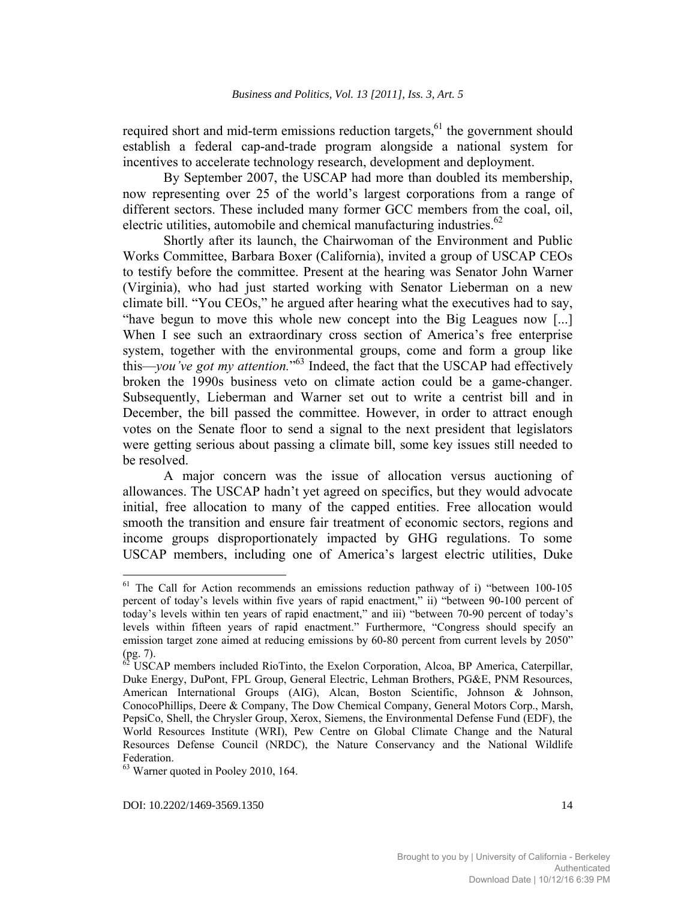required short and mid-term emissions reduction targets, $61$  the government should establish a federal cap-and-trade program alongside a national system for incentives to accelerate technology research, development and deployment.

By September 2007, the USCAP had more than doubled its membership, now representing over 25 of the world's largest corporations from a range of different sectors. These included many former GCC members from the coal, oil, electric utilities, automobile and chemical manufacturing industries.<sup>62</sup>

Shortly after its launch, the Chairwoman of the Environment and Public Works Committee, Barbara Boxer (California), invited a group of USCAP CEOs to testify before the committee. Present at the hearing was Senator John Warner (Virginia), who had just started working with Senator Lieberman on a new climate bill. "You CEOs," he argued after hearing what the executives had to say, "have begun to move this whole new concept into the Big Leagues now [...] When I see such an extraordinary cross section of America's free enterprise system, together with the environmental groups, come and form a group like this—*you've got my attention.*" 63 Indeed, the fact that the USCAP had effectively broken the 1990s business veto on climate action could be a game-changer. Subsequently, Lieberman and Warner set out to write a centrist bill and in December, the bill passed the committee. However, in order to attract enough votes on the Senate floor to send a signal to the next president that legislators were getting serious about passing a climate bill, some key issues still needed to be resolved.

A major concern was the issue of allocation versus auctioning of allowances. The USCAP hadn't yet agreed on specifics, but they would advocate initial, free allocation to many of the capped entities. Free allocation would smooth the transition and ensure fair treatment of economic sectors, regions and income groups disproportionately impacted by GHG regulations. To some USCAP members, including one of America's largest electric utilities, Duke

<sup>&</sup>lt;sup>61</sup> The Call for Action recommends an emissions reduction pathway of i) "between 100-105 percent of today's levels within five years of rapid enactment," ii) "between 90-100 percent of today's levels within ten years of rapid enactment," and iii) "between 70-90 percent of today's levels within fifteen years of rapid enactment." Furthermore, "Congress should specify an emission target zone aimed at reducing emissions by 60-80 percent from current levels by 2050"  $(\text{pg. 7})$ .

USCAP members included RioTinto, the Exelon Corporation, Alcoa, BP America, Caterpillar, Duke Energy, DuPont, FPL Group, General Electric, Lehman Brothers, PG&E, PNM Resources, American International Groups (AIG), Alcan, Boston Scientific, Johnson & Johnson, ConocoPhillips, Deere & Company, The Dow Chemical Company, General Motors Corp., Marsh, PepsiCo, Shell, the Chrysler Group, Xerox, Siemens, the Environmental Defense Fund (EDF), the World Resources Institute (WRI), Pew Centre on Global Climate Change and the Natural Resources Defense Council (NRDC), the Nature Conservancy and the National Wildlife Federation.

<sup>63</sup> Warner quoted in Pooley 2010, 164.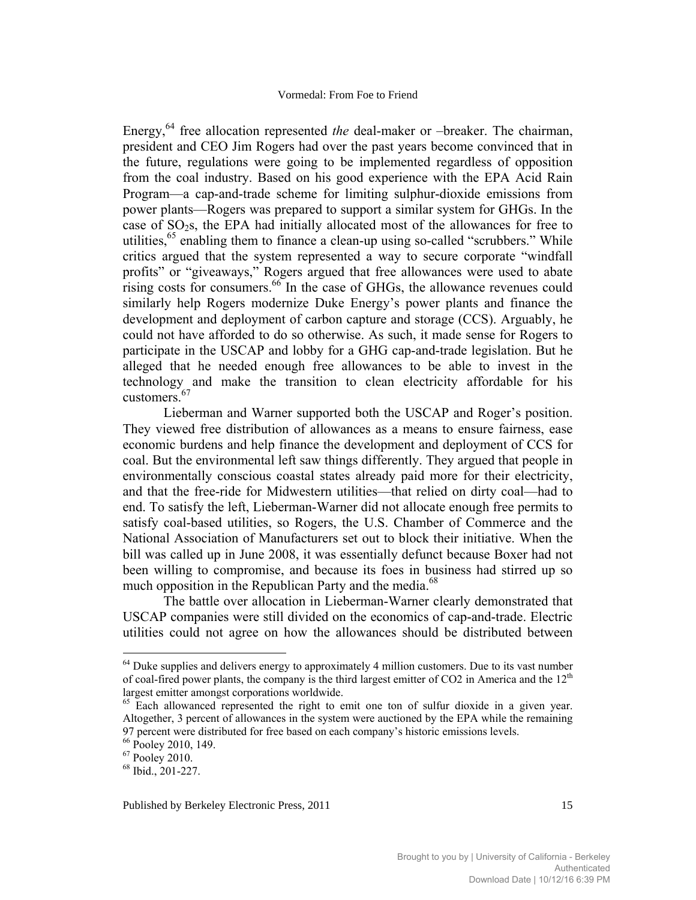Energy,<sup>64</sup> free allocation represented *the* deal-maker or –breaker. The chairman, president and CEO Jim Rogers had over the past years become convinced that in the future, regulations were going to be implemented regardless of opposition from the coal industry. Based on his good experience with the EPA Acid Rain Program—a cap-and-trade scheme for limiting sulphur-dioxide emissions from power plants—Rogers was prepared to support a similar system for GHGs. In the case of SO<sub>2S</sub>, the EPA had initially allocated most of the allowances for free to utilities,<sup>65</sup> enabling them to finance a clean-up using so-called "scrubbers." While critics argued that the system represented a way to secure corporate "windfall profits" or "giveaways," Rogers argued that free allowances were used to abate rising costs for consumers.<sup>66</sup> In the case of GHGs, the allowance revenues could similarly help Rogers modernize Duke Energy's power plants and finance the development and deployment of carbon capture and storage (CCS). Arguably, he could not have afforded to do so otherwise. As such, it made sense for Rogers to participate in the USCAP and lobby for a GHG cap-and-trade legislation. But he alleged that he needed enough free allowances to be able to invest in the technology and make the transition to clean electricity affordable for his customers.<sup>67</sup>

Lieberman and Warner supported both the USCAP and Roger's position. They viewed free distribution of allowances as a means to ensure fairness, ease economic burdens and help finance the development and deployment of CCS for coal. But the environmental left saw things differently. They argued that people in environmentally conscious coastal states already paid more for their electricity, and that the free-ride for Midwestern utilities—that relied on dirty coal—had to end. To satisfy the left, Lieberman-Warner did not allocate enough free permits to satisfy coal-based utilities, so Rogers, the U.S. Chamber of Commerce and the National Association of Manufacturers set out to block their initiative. When the bill was called up in June 2008, it was essentially defunct because Boxer had not been willing to compromise, and because its foes in business had stirred up so much opposition in the Republican Party and the media.<sup>68</sup>

The battle over allocation in Lieberman-Warner clearly demonstrated that USCAP companies were still divided on the economics of cap-and-trade. Electric utilities could not agree on how the allowances should be distributed between

 $64$  Duke supplies and delivers energy to approximately 4 million customers. Due to its vast number of coal-fired power plants, the company is the third largest emitter of CO2 in America and the  $12<sup>th</sup>$ largest emitter amongst corporations worldwide.

<sup>&</sup>lt;sup>65</sup> Each allowanced represented the right to emit one ton of sulfur dioxide in a given year. Altogether, 3 percent of allowances in the system were auctioned by the EPA while the remaining 97 percent were distributed for free based on each company's historic emissions levels. 66 Pooley 2010, 149.

<sup>67</sup> Pooley 2010.

<sup>68</sup> Ibid., 201-227.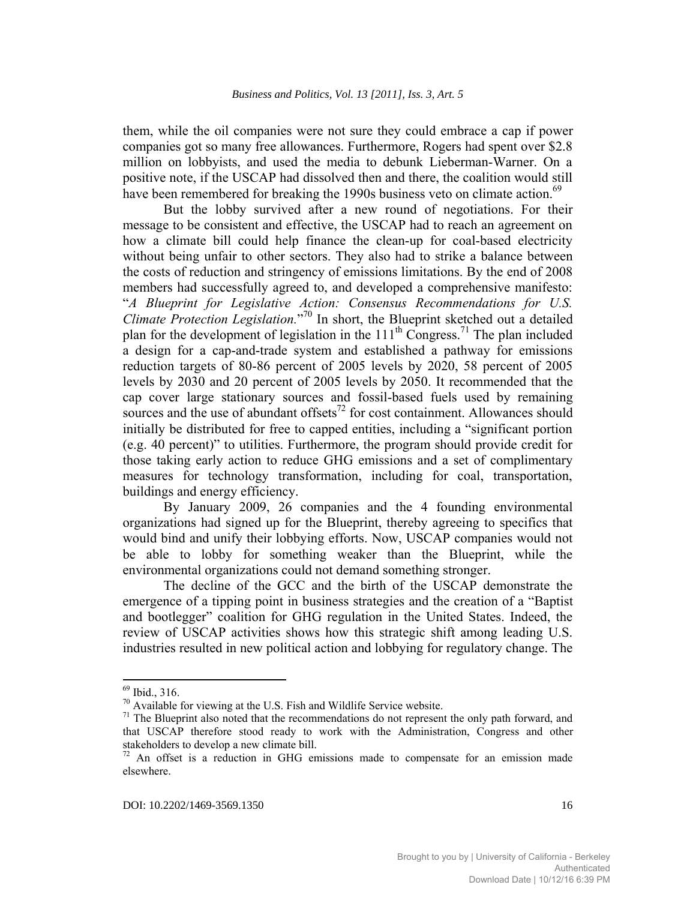them, while the oil companies were not sure they could embrace a cap if power companies got so many free allowances. Furthermore, Rogers had spent over \$2.8 million on lobbyists, and used the media to debunk Lieberman-Warner. On a positive note, if the USCAP had dissolved then and there, the coalition would still have been remembered for breaking the 1990s business veto on climate action.<sup>69</sup>

But the lobby survived after a new round of negotiations. For their message to be consistent and effective, the USCAP had to reach an agreement on how a climate bill could help finance the clean-up for coal-based electricity without being unfair to other sectors. They also had to strike a balance between the costs of reduction and stringency of emissions limitations. By the end of 2008 members had successfully agreed to, and developed a comprehensive manifesto: "*A Blueprint for Legislative Action: Consensus Recommendations for U.S. Climate Protection Legislation.*" 70 In short, the Blueprint sketched out a detailed plan for the development of legislation in the  $111<sup>th</sup>$  Congress.<sup>71</sup> The plan included a design for a cap-and-trade system and established a pathway for emissions reduction targets of 80-86 percent of 2005 levels by 2020, 58 percent of 2005 levels by 2030 and 20 percent of 2005 levels by 2050. It recommended that the cap cover large stationary sources and fossil-based fuels used by remaining sources and the use of abundant offsets<sup>72</sup> for cost containment. Allowances should initially be distributed for free to capped entities, including a "significant portion (e.g. 40 percent)" to utilities. Furthermore, the program should provide credit for those taking early action to reduce GHG emissions and a set of complimentary measures for technology transformation, including for coal, transportation, buildings and energy efficiency.

By January 2009, 26 companies and the 4 founding environmental organizations had signed up for the Blueprint, thereby agreeing to specifics that would bind and unify their lobbying efforts. Now, USCAP companies would not be able to lobby for something weaker than the Blueprint, while the environmental organizations could not demand something stronger.

The decline of the GCC and the birth of the USCAP demonstrate the emergence of a tipping point in business strategies and the creation of a "Baptist and bootlegger" coalition for GHG regulation in the United States. Indeed, the review of USCAP activities shows how this strategic shift among leading U.S. industries resulted in new political action and lobbying for regulatory change. The

<sup>69</sup> Ibid., 316.

 $70$  Available for viewing at the U.S. Fish and Wildlife Service website.

 $71$  The Blueprint also noted that the recommendations do not represent the only path forward, and that USCAP therefore stood ready to work with the Administration, Congress and other stakeholders to develop a new climate bill.

 $72$  An offset is a reduction in GHG emissions made to compensate for an emission made elsewhere.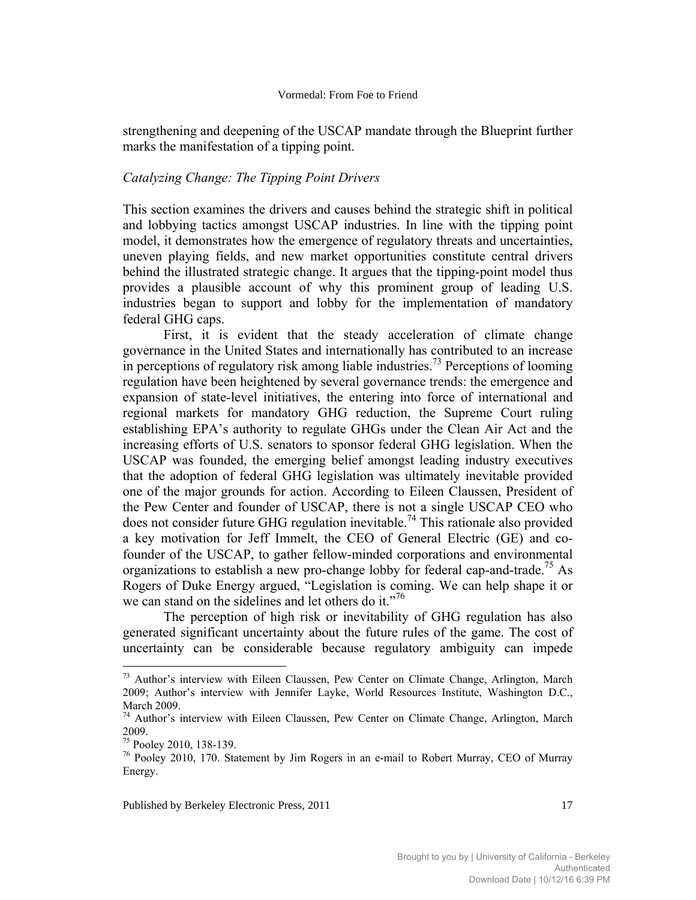strengthening and deepening of the USCAP mandate through the Blueprint further marks the manifestation of a tipping point.

## *Catalyzing Change: The Tipping Point Drivers*

This section examines the drivers and causes behind the strategic shift in political and lobbying tactics amongst USCAP industries. In line with the tipping point model, it demonstrates how the emergence of regulatory threats and uncertainties, uneven playing fields, and new market opportunities constitute central drivers behind the illustrated strategic change. It argues that the tipping-point model thus provides a plausible account of why this prominent group of leading U.S. industries began to support and lobby for the implementation of mandatory federal GHG caps.

 First, it is evident that the steady acceleration of climate change governance in the United States and internationally has contributed to an increase in perceptions of regulatory risk among liable industries.<sup>73</sup> Perceptions of looming regulation have been heightened by several governance trends: the emergence and expansion of state-level initiatives, the entering into force of international and regional markets for mandatory GHG reduction, the Supreme Court ruling establishing EPA's authority to regulate GHGs under the Clean Air Act and the increasing efforts of U.S. senators to sponsor federal GHG legislation. When the USCAP was founded, the emerging belief amongst leading industry executives that the adoption of federal GHG legislation was ultimately inevitable provided one of the major grounds for action. According to Eileen Claussen, President of the Pew Center and founder of USCAP, there is not a single USCAP CEO who does not consider future GHG regulation inevitable.74 This rationale also provided a key motivation for Jeff Immelt, the CEO of General Electric (GE) and cofounder of the USCAP, to gather fellow-minded corporations and environmental organizations to establish a new pro-change lobby for federal cap-and-trade.<sup>75</sup> As Rogers of Duke Energy argued, "Legislation is coming. We can help shape it or we can stand on the sidelines and let others do it."<sup>76</sup>

The perception of high risk or inevitability of GHG regulation has also generated significant uncertainty about the future rules of the game. The cost of uncertainty can be considerable because regulatory ambiguity can impede

<sup>&</sup>lt;sup>73</sup> Author's interview with Eileen Claussen, Pew Center on Climate Change, Arlington, March 2009; Author's interview with Jennifer Layke, World Resources Institute, Washington D.C., March 2009.

<sup>&</sup>lt;sup>74</sup> Author's interview with Eileen Claussen, Pew Center on Climate Change, Arlington, March 2009.

<sup>75</sup> Pooley 2010, 138-139.

<sup>&</sup>lt;sup>76</sup> Pooley 2010, 170. Statement by Jim Rogers in an e-mail to Robert Murray, CEO of Murray Energy.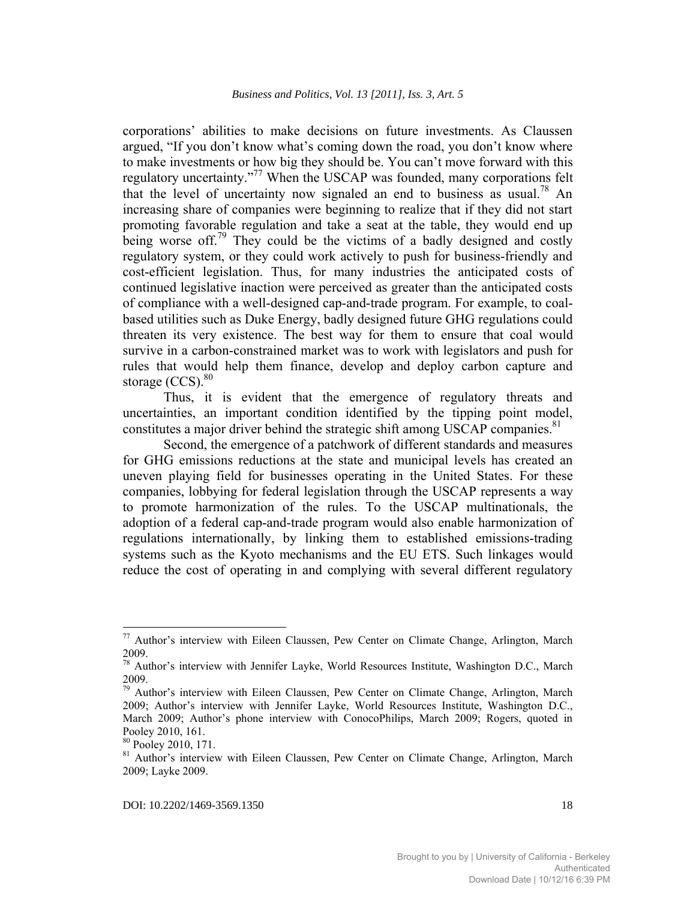corporations' abilities to make decisions on future investments. As Claussen argued, "If you don't know what's coming down the road, you don't know where to make investments or how big they should be. You can't move forward with this regulatory uncertainty."77 When the USCAP was founded, many corporations felt that the level of uncertainty now signaled an end to business as usual.<sup>78</sup> An increasing share of companies were beginning to realize that if they did not start promoting favorable regulation and take a seat at the table, they would end up being worse off.<sup>79</sup> They could be the victims of a badly designed and costly regulatory system, or they could work actively to push for business-friendly and cost-efficient legislation. Thus, for many industries the anticipated costs of continued legislative inaction were perceived as greater than the anticipated costs of compliance with a well-designed cap-and-trade program. For example, to coalbased utilities such as Duke Energy, badly designed future GHG regulations could threaten its very existence. The best way for them to ensure that coal would survive in a carbon-constrained market was to work with legislators and push for rules that would help them finance, develop and deploy carbon capture and storage  $(CCS)$ .<sup>80</sup>

Thus, it is evident that the emergence of regulatory threats and uncertainties, an important condition identified by the tipping point model, constitutes a major driver behind the strategic shift among USCAP companies.<sup>81</sup>

Second, the emergence of a patchwork of different standards and measures for GHG emissions reductions at the state and municipal levels has created an uneven playing field for businesses operating in the United States. For these companies, lobbying for federal legislation through the USCAP represents a way to promote harmonization of the rules. To the USCAP multinationals, the adoption of a federal cap-and-trade program would also enable harmonization of regulations internationally, by linking them to established emissions-trading systems such as the Kyoto mechanisms and the EU ETS. Such linkages would reduce the cost of operating in and complying with several different regulatory

 $\overline{a}$ 

DOI: 10.2202/1469-3569.1350

<sup>&</sup>lt;sup>77</sup> Author's interview with Eileen Claussen, Pew Center on Climate Change, Arlington, March 2009.

<sup>&</sup>lt;sup>78</sup> Author's interview with Jennifer Layke, World Resources Institute, Washington D.C., March 2009.

 $79$  Author's interview with Eileen Claussen, Pew Center on Climate Change, Arlington, March 2009; Author's interview with Jennifer Layke, World Resources Institute, Washington D.C., March 2009; Author's phone interview with ConocoPhilips, March 2009; Rogers, quoted in Pooley 2010, 161.

<sup>80</sup> Pooley 2010, 171.

<sup>&</sup>lt;sup>81</sup> Author's interview with Eileen Claussen, Pew Center on Climate Change, Arlington, March 2009; Layke 2009.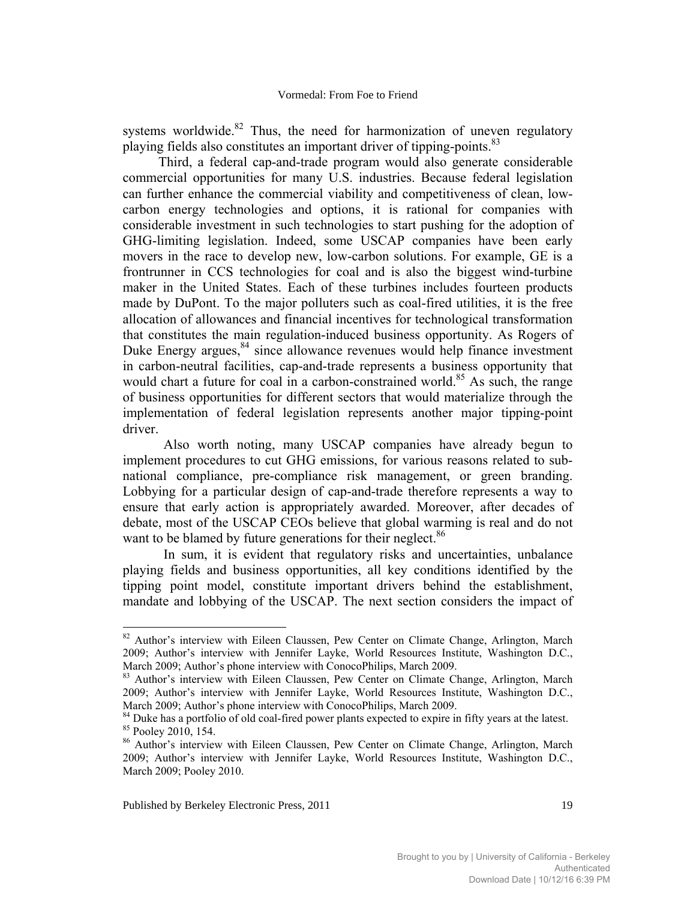systems worldwide. $82$  Thus, the need for harmonization of uneven regulatory playing fields also constitutes an important driver of tipping-points.<sup>83</sup>

 Third, a federal cap-and-trade program would also generate considerable commercial opportunities for many U.S. industries. Because federal legislation can further enhance the commercial viability and competitiveness of clean, lowcarbon energy technologies and options, it is rational for companies with considerable investment in such technologies to start pushing for the adoption of GHG-limiting legislation. Indeed, some USCAP companies have been early movers in the race to develop new, low-carbon solutions. For example, GE is a frontrunner in CCS technologies for coal and is also the biggest wind-turbine maker in the United States. Each of these turbines includes fourteen products made by DuPont. To the major polluters such as coal-fired utilities, it is the free allocation of allowances and financial incentives for technological transformation that constitutes the main regulation-induced business opportunity. As Rogers of Duke Energy argues,<sup>84</sup> since allowance revenues would help finance investment in carbon-neutral facilities, cap-and-trade represents a business opportunity that would chart a future for coal in a carbon-constrained world.<sup>85</sup> As such, the range of business opportunities for different sectors that would materialize through the implementation of federal legislation represents another major tipping-point driver.

Also worth noting, many USCAP companies have already begun to implement procedures to cut GHG emissions, for various reasons related to subnational compliance, pre-compliance risk management, or green branding. Lobbying for a particular design of cap-and-trade therefore represents a way to ensure that early action is appropriately awarded. Moreover, after decades of debate, most of the USCAP CEOs believe that global warming is real and do not want to be blamed by future generations for their neglect.<sup>86</sup>

 In sum, it is evident that regulatory risks and uncertainties, unbalance playing fields and business opportunities, all key conditions identified by the tipping point model, constitute important drivers behind the establishment, mandate and lobbying of the USCAP. The next section considers the impact of

<sup>&</sup>lt;sup>82</sup> Author's interview with Eileen Claussen, Pew Center on Climate Change, Arlington, March 2009; Author's interview with Jennifer Layke, World Resources Institute, Washington D.C., March 2009; Author's phone interview with ConocoPhilips, March 2009.

<sup>83</sup> Author's interview with Eileen Claussen, Pew Center on Climate Change, Arlington, March 2009; Author's interview with Jennifer Layke, World Resources Institute, Washington D.C., March 2009; Author's phone interview with ConocoPhilips, March 2009.

 $84$  Duke has a portfolio of old coal-fired power plants expected to expire in fifty years at the latest.  $85$  Pooley 2010, 154.

<sup>86</sup> Author's interview with Eileen Claussen, Pew Center on Climate Change, Arlington, March 2009; Author's interview with Jennifer Layke, World Resources Institute, Washington D.C., March 2009; Pooley 2010.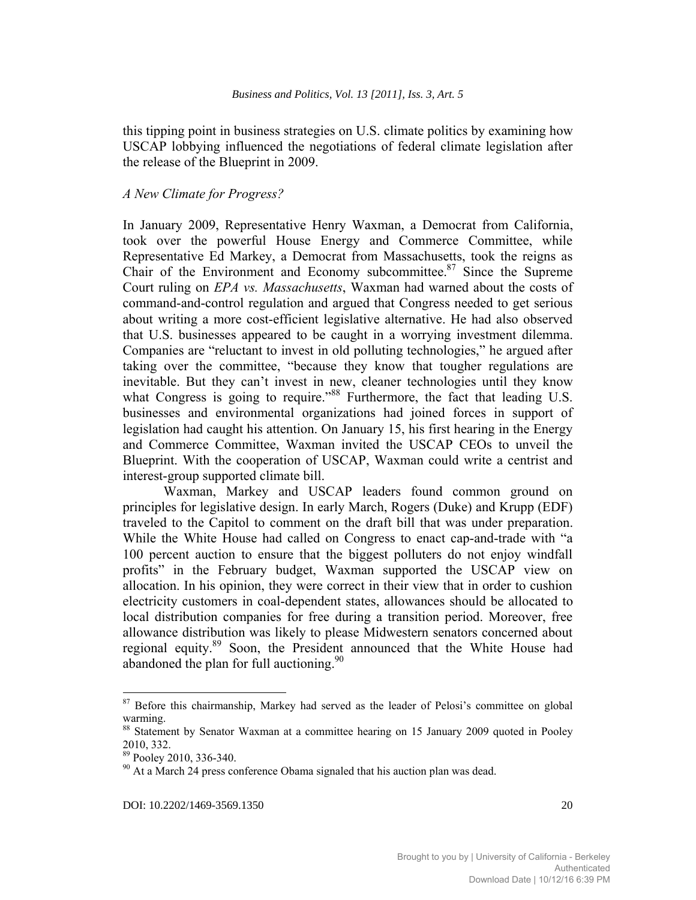this tipping point in business strategies on U.S. climate politics by examining how USCAP lobbying influenced the negotiations of federal climate legislation after the release of the Blueprint in 2009.

## *A New Climate for Progress?*

In January 2009, Representative Henry Waxman, a Democrat from California, took over the powerful House Energy and Commerce Committee, while Representative Ed Markey, a Democrat from Massachusetts, took the reigns as Chair of the Environment and Economy subcommittee.<sup>87</sup> Since the Supreme Court ruling on *EPA vs. Massachusetts*, Waxman had warned about the costs of command-and-control regulation and argued that Congress needed to get serious about writing a more cost-efficient legislative alternative. He had also observed that U.S. businesses appeared to be caught in a worrying investment dilemma. Companies are "reluctant to invest in old polluting technologies," he argued after taking over the committee, "because they know that tougher regulations are inevitable. But they can't invest in new, cleaner technologies until they know what Congress is going to require."<sup>88</sup> Furthermore, the fact that leading U.S. businesses and environmental organizations had joined forces in support of legislation had caught his attention. On January 15, his first hearing in the Energy and Commerce Committee, Waxman invited the USCAP CEOs to unveil the Blueprint. With the cooperation of USCAP, Waxman could write a centrist and interest-group supported climate bill.

Waxman, Markey and USCAP leaders found common ground on principles for legislative design. In early March, Rogers (Duke) and Krupp (EDF) traveled to the Capitol to comment on the draft bill that was under preparation. While the White House had called on Congress to enact cap-and-trade with "a 100 percent auction to ensure that the biggest polluters do not enjoy windfall profits" in the February budget, Waxman supported the USCAP view on allocation. In his opinion, they were correct in their view that in order to cushion electricity customers in coal-dependent states, allowances should be allocated to local distribution companies for free during a transition period. Moreover, free allowance distribution was likely to please Midwestern senators concerned about regional equity.89 Soon, the President announced that the White House had abandoned the plan for full auctioning.<sup>90</sup>

<sup>&</sup>lt;sup>87</sup> Before this chairmanship, Markey had served as the leader of Pelosi's committee on global warming.

<sup>&</sup>lt;sup>88</sup> Statement by Senator Waxman at a committee hearing on 15 January 2009 quoted in Pooley 2010, 332.

<sup>89</sup> Pooley 2010, 336-340.

 $90$  At a March 24 press conference Obama signaled that his auction plan was dead.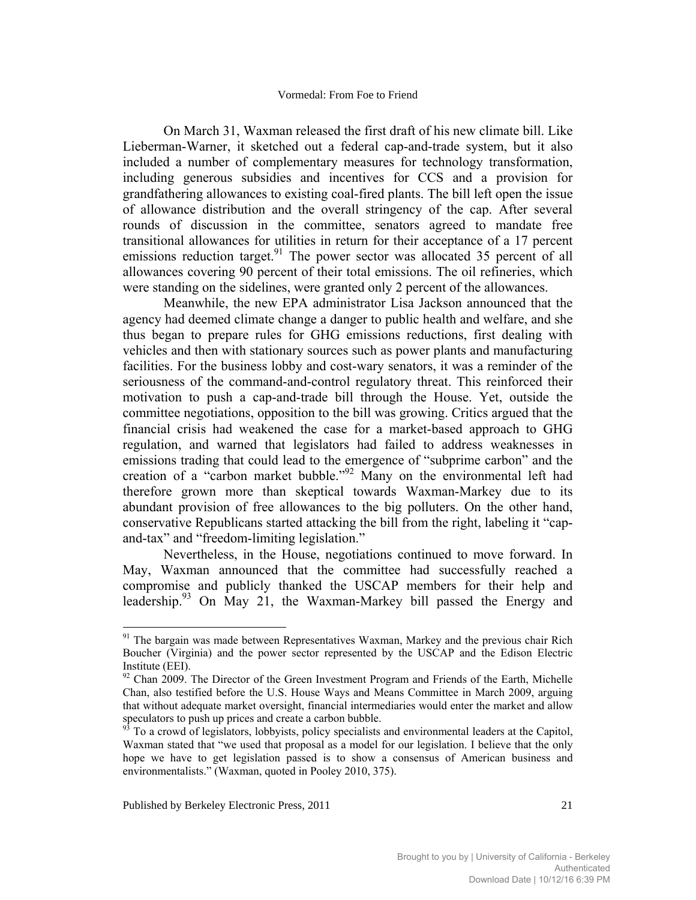On March 31, Waxman released the first draft of his new climate bill. Like Lieberman-Warner, it sketched out a federal cap-and-trade system, but it also included a number of complementary measures for technology transformation, including generous subsidies and incentives for CCS and a provision for grandfathering allowances to existing coal-fired plants. The bill left open the issue of allowance distribution and the overall stringency of the cap. After several rounds of discussion in the committee, senators agreed to mandate free transitional allowances for utilities in return for their acceptance of a 17 percent emissions reduction target.<sup>91</sup> The power sector was allocated 35 percent of all allowances covering 90 percent of their total emissions. The oil refineries, which were standing on the sidelines, were granted only 2 percent of the allowances.

Meanwhile, the new EPA administrator Lisa Jackson announced that the agency had deemed climate change a danger to public health and welfare, and she thus began to prepare rules for GHG emissions reductions, first dealing with vehicles and then with stationary sources such as power plants and manufacturing facilities. For the business lobby and cost-wary senators, it was a reminder of the seriousness of the command-and-control regulatory threat. This reinforced their motivation to push a cap-and-trade bill through the House. Yet, outside the committee negotiations, opposition to the bill was growing. Critics argued that the financial crisis had weakened the case for a market-based approach to GHG regulation, and warned that legislators had failed to address weaknesses in emissions trading that could lead to the emergence of "subprime carbon" and the creation of a "carbon market bubble."92 Many on the environmental left had therefore grown more than skeptical towards Waxman-Markey due to its abundant provision of free allowances to the big polluters. On the other hand, conservative Republicans started attacking the bill from the right, labeling it "capand-tax" and "freedom-limiting legislation."

Nevertheless, in the House, negotiations continued to move forward. In May, Waxman announced that the committee had successfully reached a compromise and publicly thanked the USCAP members for their help and leadership.<sup>93</sup> On May 21, the Waxman-Markey bill passed the Energy and

 $91$  The bargain was made between Representatives Waxman, Markey and the previous chair Rich Boucher (Virginia) and the power sector represented by the USCAP and the Edison Electric Institute (EEI).

 $92$  Chan 2009. The Director of the Green Investment Program and Friends of the Earth, Michelle Chan, also testified before the U.S. House Ways and Means Committee in March 2009, arguing that without adequate market oversight, financial intermediaries would enter the market and allow speculators to push up prices and create a carbon bubble.

To a crowd of legislators, lobbyists, policy specialists and environmental leaders at the Capitol, Waxman stated that "we used that proposal as a model for our legislation. I believe that the only hope we have to get legislation passed is to show a consensus of American business and environmentalists." (Waxman, quoted in Pooley 2010, 375).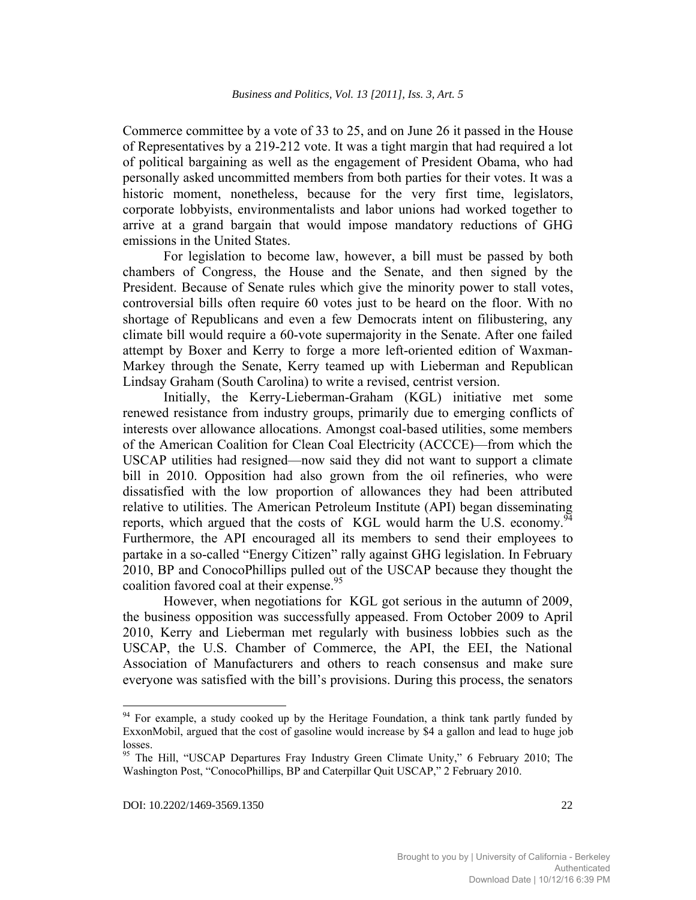Commerce committee by a vote of 33 to 25, and on June 26 it passed in the House of Representatives by a 219-212 vote. It was a tight margin that had required a lot of political bargaining as well as the engagement of President Obama, who had personally asked uncommitted members from both parties for their votes. It was a historic moment, nonetheless, because for the very first time, legislators, corporate lobbyists, environmentalists and labor unions had worked together to arrive at a grand bargain that would impose mandatory reductions of GHG emissions in the United States.

For legislation to become law, however, a bill must be passed by both chambers of Congress, the House and the Senate, and then signed by the President. Because of Senate rules which give the minority power to stall votes, controversial bills often require 60 votes just to be heard on the floor. With no shortage of Republicans and even a few Democrats intent on filibustering, any climate bill would require a 60-vote supermajority in the Senate. After one failed attempt by Boxer and Kerry to forge a more left-oriented edition of Waxman-Markey through the Senate, Kerry teamed up with Lieberman and Republican Lindsay Graham (South Carolina) to write a revised, centrist version.

Initially, the Kerry-Lieberman-Graham (KGL) initiative met some renewed resistance from industry groups, primarily due to emerging conflicts of interests over allowance allocations. Amongst coal-based utilities, some members of the American Coalition for Clean Coal Electricity (ACCCE)—from which the USCAP utilities had resigned—now said they did not want to support a climate bill in 2010. Opposition had also grown from the oil refineries, who were dissatisfied with the low proportion of allowances they had been attributed relative to utilities. The American Petroleum Institute (API) began disseminating reports, which argued that the costs of KGL would harm the U.S. economy.<sup>94</sup> Furthermore, the API encouraged all its members to send their employees to partake in a so-called "Energy Citizen" rally against GHG legislation. In February 2010, BP and ConocoPhillips pulled out of the USCAP because they thought the coalition favored coal at their expense.<sup>95</sup>

However, when negotiations for KGL got serious in the autumn of 2009, the business opposition was successfully appeased. From October 2009 to April 2010, Kerry and Lieberman met regularly with business lobbies such as the USCAP, the U.S. Chamber of Commerce, the API, the EEI, the National Association of Manufacturers and others to reach consensus and make sure everyone was satisfied with the bill's provisions. During this process, the senators

<sup>&</sup>lt;sup>94</sup> For example, a study cooked up by the Heritage Foundation, a think tank partly funded by ExxonMobil, argued that the cost of gasoline would increase by \$4 a gallon and lead to huge job losses.

<sup>&</sup>lt;sup>95</sup> The Hill, "USCAP Departures Fray Industry Green Climate Unity," 6 February 2010; The Washington Post, "ConocoPhillips, BP and Caterpillar Quit USCAP," 2 February 2010.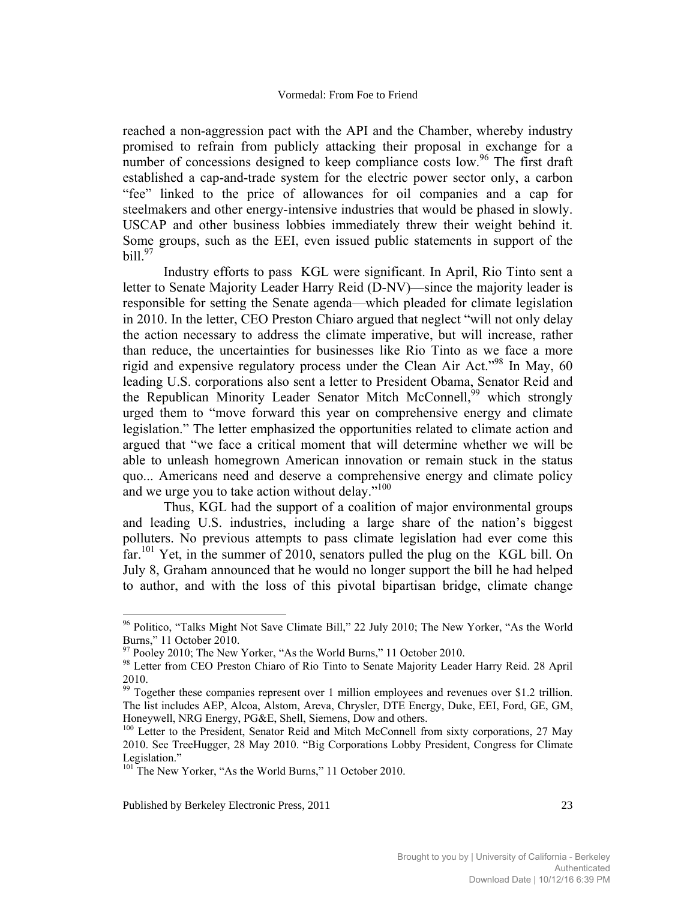reached a non-aggression pact with the API and the Chamber, whereby industry promised to refrain from publicly attacking their proposal in exchange for a number of concessions designed to keep compliance costs low.<sup>96</sup> The first draft established a cap-and-trade system for the electric power sector only, a carbon "fee" linked to the price of allowances for oil companies and a cap for steelmakers and other energy-intensive industries that would be phased in slowly. USCAP and other business lobbies immediately threw their weight behind it. Some groups, such as the EEI, even issued public statements in support of the bill $^{97}$ 

Industry efforts to pass KGL were significant. In April, Rio Tinto sent a letter to Senate Majority Leader Harry Reid (D-NV)—since the majority leader is responsible for setting the Senate agenda—which pleaded for climate legislation in 2010. In the letter, CEO Preston Chiaro argued that neglect "will not only delay the action necessary to address the climate imperative, but will increase, rather than reduce, the uncertainties for businesses like Rio Tinto as we face a more rigid and expensive regulatory process under the Clean Air Act."98 In May, 60 leading U.S. corporations also sent a letter to President Obama, Senator Reid and the Republican Minority Leader Senator Mitch McConnell,<sup>99</sup> which strongly urged them to "move forward this year on comprehensive energy and climate legislation." The letter emphasized the opportunities related to climate action and argued that "we face a critical moment that will determine whether we will be able to unleash homegrown American innovation or remain stuck in the status quo... Americans need and deserve a comprehensive energy and climate policy and we urge you to take action without delay."<sup>100</sup>

Thus, KGL had the support of a coalition of major environmental groups and leading U.S. industries, including a large share of the nation's biggest polluters. No previous attempts to pass climate legislation had ever come this  $\text{far.}^{101}$  Yet, in the summer of 2010, senators pulled the plug on the KGL bill. On July 8, Graham announced that he would no longer support the bill he had helped to author, and with the loss of this pivotal bipartisan bridge, climate change

<sup>&</sup>lt;sup>96</sup> Politico, "Talks Might Not Save Climate Bill," 22 July 2010; The New Yorker, "As the World Burns," 11 October 2010.

 $97$  Pooley 2010; The New Yorker, "As the World Burns," 11 October 2010.

<sup>98</sup> Letter from CEO Preston Chiaro of Rio Tinto to Senate Majority Leader Harry Reid. 28 April 2010.

 $99$  Together these companies represent over 1 million employees and revenues over \$1.2 trillion. The list includes AEP, Alcoa, Alstom, Areva, Chrysler, DTE Energy, Duke, EEI, Ford, GE, GM, Honeywell, NRG Energy, PG&E, Shell, Siemens, Dow and others.

<sup>&</sup>lt;sup>100</sup> Letter to the President, Senator Reid and Mitch McConnell from sixty corporations, 27 May 2010. See TreeHugger, 28 May 2010. "Big Corporations Lobby President, Congress for Climate Legislation."

<sup>&</sup>lt;sup>101</sup> The New Yorker, "As the World Burns," 11 October 2010.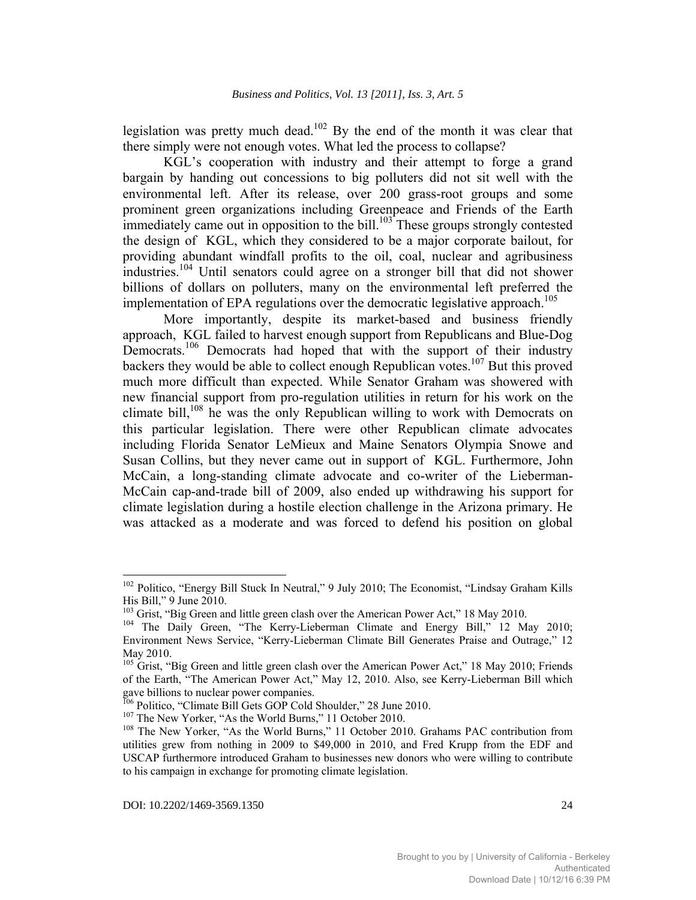legislation was pretty much dead.102 By the end of the month it was clear that there simply were not enough votes. What led the process to collapse?

KGL's cooperation with industry and their attempt to forge a grand bargain by handing out concessions to big polluters did not sit well with the environmental left. After its release, over 200 grass-root groups and some prominent green organizations including Greenpeace and Friends of the Earth immediately came out in opposition to the bill. $103$  These groups strongly contested the design of KGL, which they considered to be a major corporate bailout, for providing abundant windfall profits to the oil, coal, nuclear and agribusiness industries.104 Until senators could agree on a stronger bill that did not shower billions of dollars on polluters, many on the environmental left preferred the implementation of EPA regulations over the democratic legislative approach.<sup>105</sup>

More importantly, despite its market-based and business friendly approach, KGL failed to harvest enough support from Republicans and Blue-Dog Democrats.<sup>106</sup> Democrats had hoped that with the support of their industry backers they would be able to collect enough Republican votes.<sup>107</sup> But this proved much more difficult than expected. While Senator Graham was showered with new financial support from pro-regulation utilities in return for his work on the climate bill, $108$  he was the only Republican willing to work with Democrats on this particular legislation. There were other Republican climate advocates including Florida Senator LeMieux and Maine Senators Olympia Snowe and Susan Collins, but they never came out in support of KGL. Furthermore, John McCain, a long-standing climate advocate and co-writer of the Lieberman-McCain cap-and-trade bill of 2009, also ended up withdrawing his support for climate legislation during a hostile election challenge in the Arizona primary. He was attacked as a moderate and was forced to defend his position on global

<sup>&</sup>lt;sup>102</sup> Politico, "Energy Bill Stuck In Neutral," 9 July 2010; The Economist, "Lindsay Graham Kills His Bill," 9 June 2010.

<sup>&</sup>lt;sup>103</sup> Grist, "Big Green and little green clash over the American Power Act," 18 May 2010.<br><sup>104</sup> The Deily Green, "The Kerry Lieberman, Climate and Energy Bill.", 12 Me

<sup>&</sup>lt;sup>104</sup> The Daily Green, "The Kerry-Lieberman Climate and Energy Bill," 12 May 2010; Environment News Service, "Kerry-Lieberman Climate Bill Generates Praise and Outrage," 12 May 2010.

<sup>&</sup>lt;sup>105</sup> Grist, "Big Green and little green clash over the American Power Act," 18 May 2010; Friends of the Earth, "The American Power Act," May 12, 2010. Also, see Kerry-Lieberman Bill which

gave billions to nuclear power companies.<br><sup>106</sup> Politico, "Climate Bill Gets GOP Cold Shoulder," 28 June 2010.<br><sup>107</sup> The Navy Vorker, "As the World Burns," 11 Osteber 2010.

 $107$  The New Yorker, "As the World Burns," 11 October 2010.

<sup>&</sup>lt;sup>108</sup> The New Yorker, "As the World Burns," 11 October 2010. Grahams PAC contribution from utilities grew from nothing in 2009 to \$49,000 in 2010, and Fred Krupp from the EDF and USCAP furthermore introduced Graham to businesses new donors who were willing to contribute to his campaign in exchange for promoting climate legislation.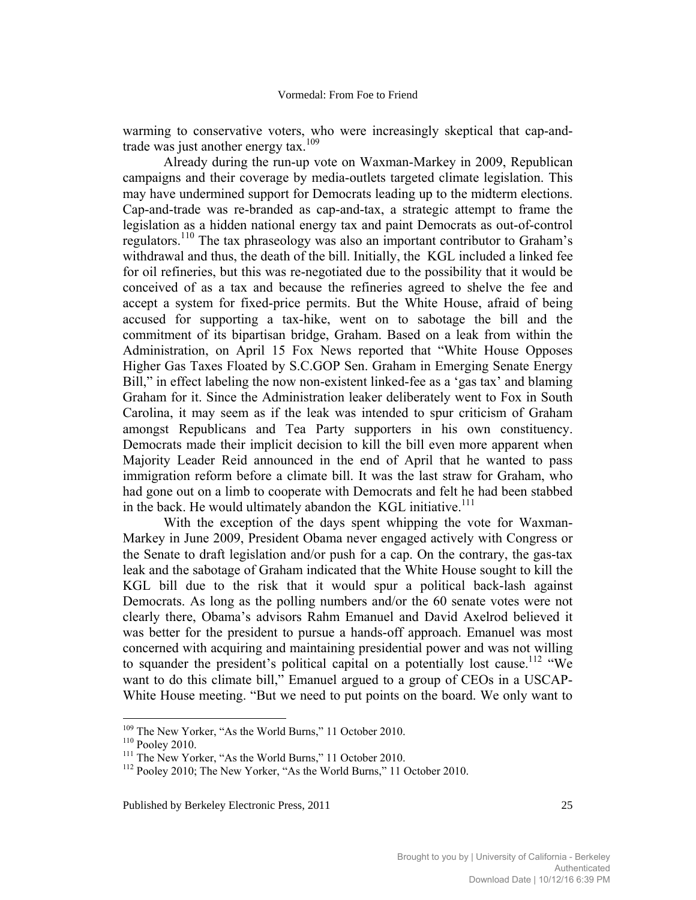warming to conservative voters, who were increasingly skeptical that cap-andtrade was just another energy tax.<sup>109</sup>

Already during the run-up vote on Waxman-Markey in 2009, Republican campaigns and their coverage by media-outlets targeted climate legislation. This may have undermined support for Democrats leading up to the midterm elections. Cap-and-trade was re-branded as cap-and-tax, a strategic attempt to frame the legislation as a hidden national energy tax and paint Democrats as out-of-control regulators.110 The tax phraseology was also an important contributor to Graham's withdrawal and thus, the death of the bill. Initially, the KGL included a linked fee for oil refineries, but this was re-negotiated due to the possibility that it would be conceived of as a tax and because the refineries agreed to shelve the fee and accept a system for fixed-price permits. But the White House, afraid of being accused for supporting a tax-hike, went on to sabotage the bill and the commitment of its bipartisan bridge, Graham. Based on a leak from within the Administration, on April 15 Fox News reported that "White House Opposes Higher Gas Taxes Floated by S.C.GOP Sen. Graham in Emerging Senate Energy Bill," in effect labeling the now non-existent linked-fee as a 'gas tax' and blaming Graham for it. Since the Administration leaker deliberately went to Fox in South Carolina, it may seem as if the leak was intended to spur criticism of Graham amongst Republicans and Tea Party supporters in his own constituency. Democrats made their implicit decision to kill the bill even more apparent when Majority Leader Reid announced in the end of April that he wanted to pass immigration reform before a climate bill. It was the last straw for Graham, who had gone out on a limb to cooperate with Democrats and felt he had been stabbed in the back. He would ultimately abandon the KGL initiative.<sup>111</sup>

With the exception of the days spent whipping the vote for Waxman-Markey in June 2009, President Obama never engaged actively with Congress or the Senate to draft legislation and/or push for a cap. On the contrary, the gas-tax leak and the sabotage of Graham indicated that the White House sought to kill the KGL bill due to the risk that it would spur a political back-lash against Democrats. As long as the polling numbers and/or the 60 senate votes were not clearly there, Obama's advisors Rahm Emanuel and David Axelrod believed it was better for the president to pursue a hands-off approach. Emanuel was most concerned with acquiring and maintaining presidential power and was not willing to squander the president's political capital on a potentially lost cause.<sup>112</sup> "We want to do this climate bill," Emanuel argued to a group of CEOs in a USCAP-White House meeting. "But we need to put points on the board. We only want to

<sup>&</sup>lt;sup>109</sup> The New Yorker, "As the World Burns," 11 October 2010.<br><sup>110</sup> Pooley 2010.<br><sup>111</sup> The New Yorker, "As the World Burns," 11 October 2010.<br><sup>112</sup> Pooley 2010; The New Yorker, "As the World Burns," 11 October 2010.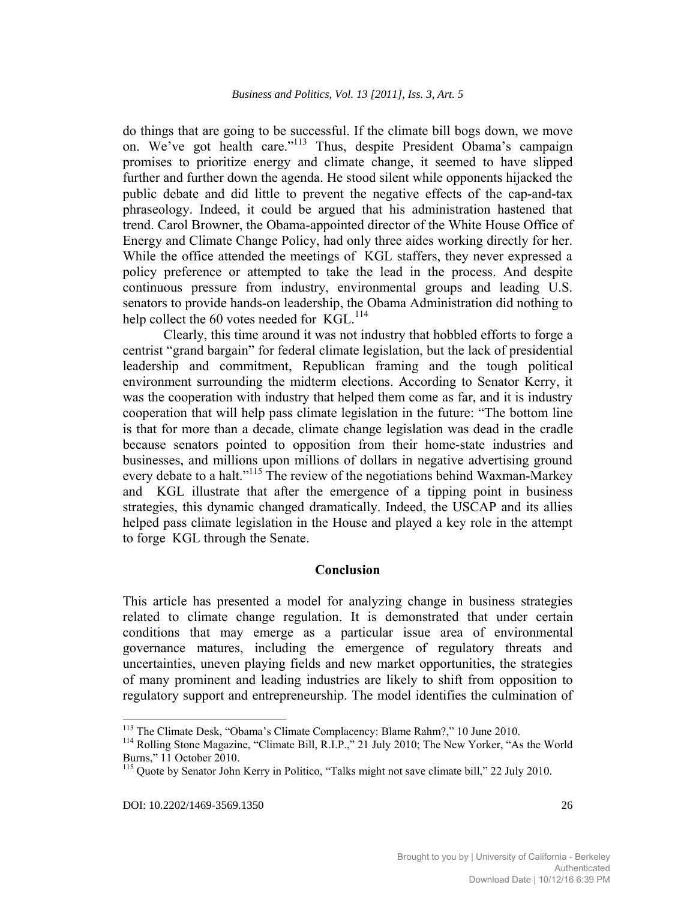do things that are going to be successful. If the climate bill bogs down, we move on. We've got health care."113 Thus, despite President Obama's campaign promises to prioritize energy and climate change, it seemed to have slipped further and further down the agenda. He stood silent while opponents hijacked the public debate and did little to prevent the negative effects of the cap-and-tax phraseology. Indeed, it could be argued that his administration hastened that trend. Carol Browner, the Obama-appointed director of the White House Office of Energy and Climate Change Policy, had only three aides working directly for her. While the office attended the meetings of KGL staffers, they never expressed a policy preference or attempted to take the lead in the process. And despite continuous pressure from industry, environmental groups and leading U.S. senators to provide hands-on leadership, the Obama Administration did nothing to help collect the 60 votes needed for KGL.<sup>114</sup>

Clearly, this time around it was not industry that hobbled efforts to forge a centrist "grand bargain" for federal climate legislation, but the lack of presidential leadership and commitment, Republican framing and the tough political environment surrounding the midterm elections. According to Senator Kerry, it was the cooperation with industry that helped them come as far, and it is industry cooperation that will help pass climate legislation in the future: "The bottom line is that for more than a decade, climate change legislation was dead in the cradle because senators pointed to opposition from their home-state industries and businesses, and millions upon millions of dollars in negative advertising ground every debate to a halt."<sup>115</sup> The review of the negotiations behind Waxman-Markey and KGL illustrate that after the emergence of a tipping point in business strategies, this dynamic changed dramatically. Indeed, the USCAP and its allies helped pass climate legislation in the House and played a key role in the attempt to forge KGL through the Senate.

## **Conclusion**

This article has presented a model for analyzing change in business strategies related to climate change regulation. It is demonstrated that under certain conditions that may emerge as a particular issue area of environmental governance matures, including the emergence of regulatory threats and uncertainties, uneven playing fields and new market opportunities, the strategies of many prominent and leading industries are likely to shift from opposition to regulatory support and entrepreneurship. The model identifies the culmination of

<sup>&</sup>lt;sup>113</sup> The Climate Desk, "Obama's Climate Complacency: Blame Rahm?," 10 June 2010.<br><sup>114</sup> Bolling Stane Magazine, "Climate Bill, B.J.B." 21 July 2010: The New Yorker, "Ag

<sup>&</sup>lt;sup>114</sup> Rolling Stone Magazine, "Climate Bill, R.I.P.," 21 July 2010; The New Yorker, "As the World Burns," 11 October 2010.

<sup>&</sup>lt;sup>115</sup> Quote by Senator John Kerry in Politico, "Talks might not save climate bill," 22 July 2010.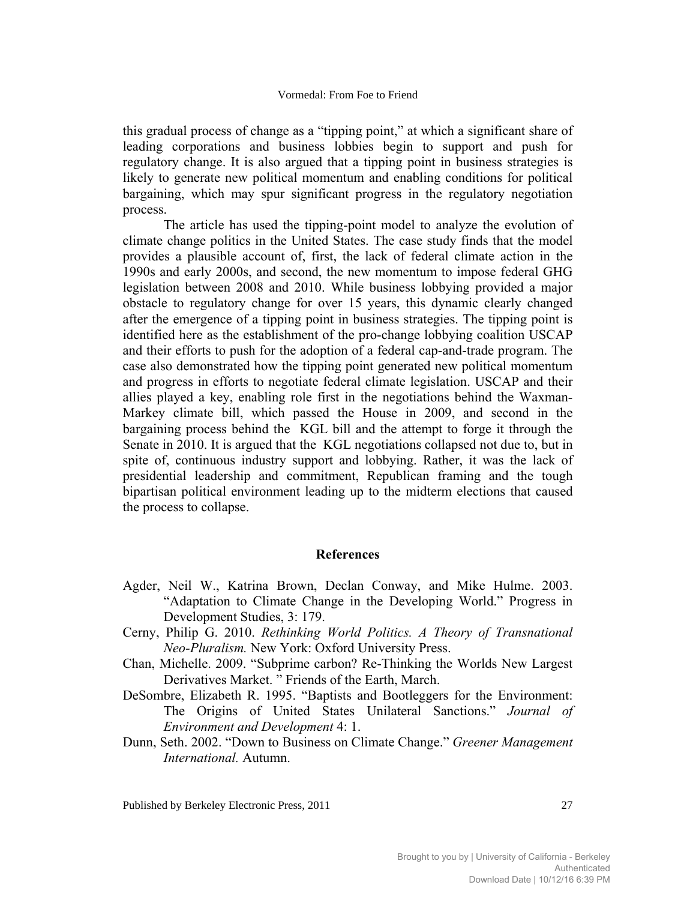this gradual process of change as a "tipping point," at which a significant share of leading corporations and business lobbies begin to support and push for regulatory change. It is also argued that a tipping point in business strategies is likely to generate new political momentum and enabling conditions for political bargaining, which may spur significant progress in the regulatory negotiation process.

 The article has used the tipping-point model to analyze the evolution of climate change politics in the United States. The case study finds that the model provides a plausible account of, first, the lack of federal climate action in the 1990s and early 2000s, and second, the new momentum to impose federal GHG legislation between 2008 and 2010. While business lobbying provided a major obstacle to regulatory change for over 15 years, this dynamic clearly changed after the emergence of a tipping point in business strategies. The tipping point is identified here as the establishment of the pro-change lobbying coalition USCAP and their efforts to push for the adoption of a federal cap-and-trade program. The case also demonstrated how the tipping point generated new political momentum and progress in efforts to negotiate federal climate legislation. USCAP and their allies played a key, enabling role first in the negotiations behind the Waxman-Markey climate bill, which passed the House in 2009, and second in the bargaining process behind the KGL bill and the attempt to forge it through the Senate in 2010. It is argued that the KGL negotiations collapsed not due to, but in spite of, continuous industry support and lobbying. Rather, it was the lack of presidential leadership and commitment, Republican framing and the tough bipartisan political environment leading up to the midterm elections that caused the process to collapse.

## **References**

- Agder, Neil W., Katrina Brown, Declan Conway, and Mike Hulme. 2003. "Adaptation to Climate Change in the Developing World." Progress in Development Studies, 3: 179.
- Cerny, Philip G. 2010. *Rethinking World Politics. A Theory of Transnational Neo-Pluralism.* New York: Oxford University Press.
- Chan, Michelle. 2009. "Subprime carbon? Re-Thinking the Worlds New Largest Derivatives Market. " Friends of the Earth, March.
- DeSombre, Elizabeth R. 1995. "Baptists and Bootleggers for the Environment: The Origins of United States Unilateral Sanctions." *Journal of Environment and Development* 4: 1.
- Dunn, Seth. 2002. "Down to Business on Climate Change." *Greener Management International.* Autumn.

Published by Berkeley Electronic Press, 2011

27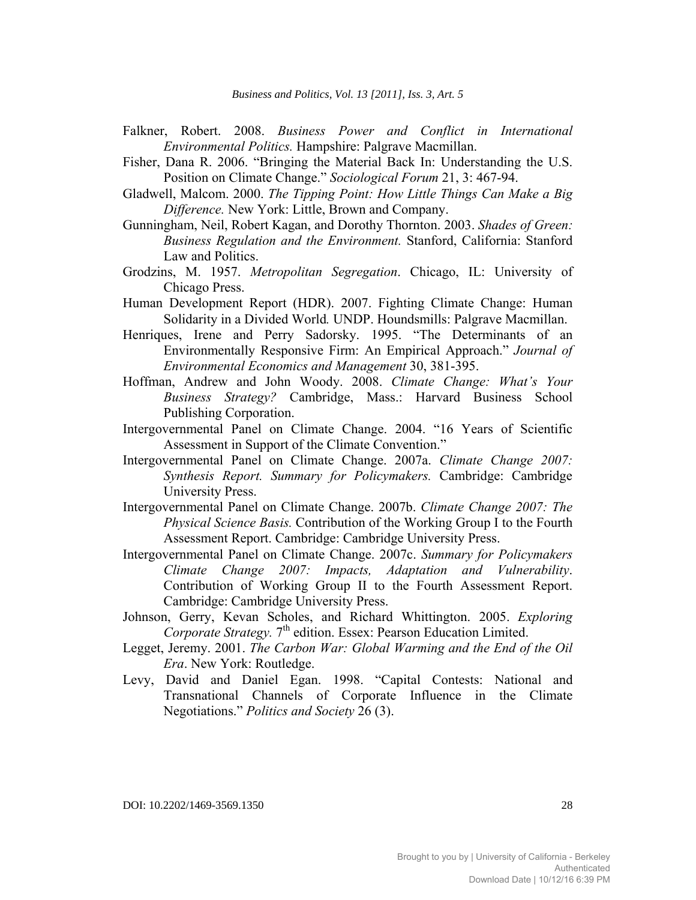- Falkner, Robert. 2008. *Business Power and Conflict in International Environmental Politics.* Hampshire: Palgrave Macmillan.
- Fisher, Dana R. 2006. "Bringing the Material Back In: Understanding the U.S. Position on Climate Change." *Sociological Forum* 21, 3: 467-94.
- Gladwell, Malcom. 2000. *The Tipping Point: How Little Things Can Make a Big Difference.* New York: Little, Brown and Company.
- Gunningham, Neil, Robert Kagan, and Dorothy Thornton. 2003. *Shades of Green: Business Regulation and the Environment.* Stanford, California: Stanford Law and Politics.
- Grodzins, M. 1957. *Metropolitan Segregation*. Chicago, IL: University of Chicago Press.
- Human Development Report (HDR). 2007. Fighting Climate Change: Human Solidarity in a Divided World*.* UNDP. Houndsmills: Palgrave Macmillan.
- Henriques, Irene and Perry Sadorsky. 1995. "The Determinants of an Environmentally Responsive Firm: An Empirical Approach." *Journal of Environmental Economics and Management* 30, 381-395.
- Hoffman, Andrew and John Woody. 2008. *Climate Change: What's Your Business Strategy?* Cambridge, Mass.: Harvard Business School Publishing Corporation.
- Intergovernmental Panel on Climate Change. 2004. "16 Years of Scientific Assessment in Support of the Climate Convention."
- Intergovernmental Panel on Climate Change. 2007a. *Climate Change 2007: Synthesis Report. Summary for Policymakers.* Cambridge: Cambridge University Press.
- Intergovernmental Panel on Climate Change. 2007b. *Climate Change 2007: The Physical Science Basis.* Contribution of the Working Group I to the Fourth Assessment Report. Cambridge: Cambridge University Press.
- Intergovernmental Panel on Climate Change. 2007c. *Summary for Policymakers Climate Change 2007: Impacts, Adaptation and Vulnerability*. Contribution of Working Group II to the Fourth Assessment Report. Cambridge: Cambridge University Press.
- Johnson, Gerry, Kevan Scholes, and Richard Whittington. 2005. *Exploring*  Corporate Strategy. 7<sup>th</sup> edition. Essex: Pearson Education Limited.
- Legget, Jeremy. 2001. *The Carbon War: Global Warming and the End of the Oil Era*. New York: Routledge.
- Levy, David and Daniel Egan. 1998. "Capital Contests: National and Transnational Channels of Corporate Influence in the Climate Negotiations." *Politics and Society* 26 (3).